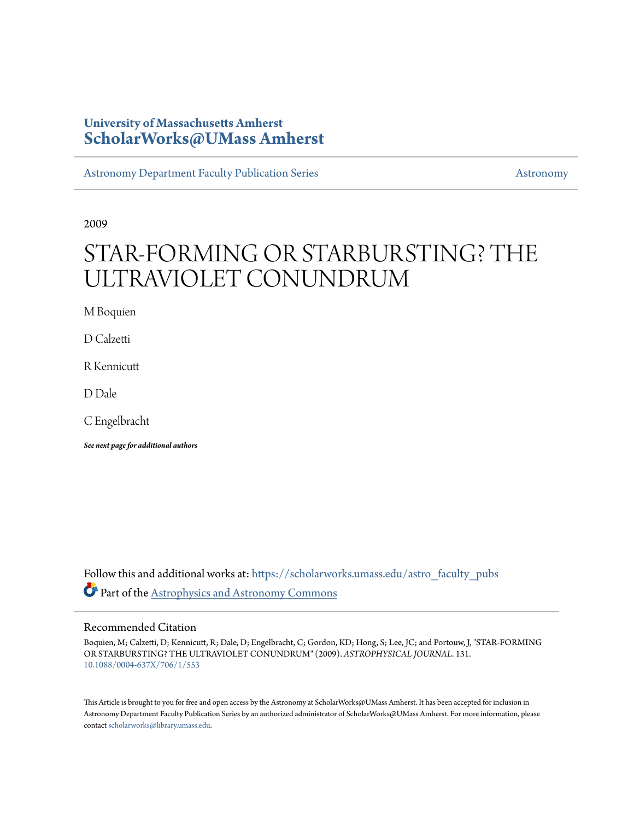# **University of Massachusetts Amherst [ScholarWorks@UMass Amherst](https://scholarworks.umass.edu?utm_source=scholarworks.umass.edu%2Fastro_faculty_pubs%2F131&utm_medium=PDF&utm_campaign=PDFCoverPages)**

[Astronomy Department Faculty Publication Series](https://scholarworks.umass.edu/astro_faculty_pubs?utm_source=scholarworks.umass.edu%2Fastro_faculty_pubs%2F131&utm_medium=PDF&utm_campaign=PDFCoverPages) [Astronomy](https://scholarworks.umass.edu/astro?utm_source=scholarworks.umass.edu%2Fastro_faculty_pubs%2F131&utm_medium=PDF&utm_campaign=PDFCoverPages)

2009

# STAR-FORMING OR STARBURSTING? THE ULTRAVIOLET CONUNDRUM

M Boquien

D Calzetti

R Kennicutt

D Dale

C Engelbracht

*See next page for additional authors*

Follow this and additional works at: [https://scholarworks.umass.edu/astro\\_faculty\\_pubs](https://scholarworks.umass.edu/astro_faculty_pubs?utm_source=scholarworks.umass.edu%2Fastro_faculty_pubs%2F131&utm_medium=PDF&utm_campaign=PDFCoverPages) Part of the [Astrophysics and Astronomy Commons](http://network.bepress.com/hgg/discipline/123?utm_source=scholarworks.umass.edu%2Fastro_faculty_pubs%2F131&utm_medium=PDF&utm_campaign=PDFCoverPages)

## Recommended Citation

Boquien, M; Calzetti, D; Kennicutt, R; Dale, D; Engelbracht, C; Gordon, KD; Hong, S; Lee, JC; and Portouw, J, "STAR-FORMING OR STARBURSTING? THE ULTRAVIOLET CONUNDRUM" (2009). *ASTROPHYSICAL JOURNAL*. 131. <10.1088/0004-637X/706/1/553>

This Article is brought to you for free and open access by the Astronomy at ScholarWorks@UMass Amherst. It has been accepted for inclusion in Astronomy Department Faculty Publication Series by an authorized administrator of ScholarWorks@UMass Amherst. For more information, please contact [scholarworks@library.umass.edu](mailto:scholarworks@library.umass.edu).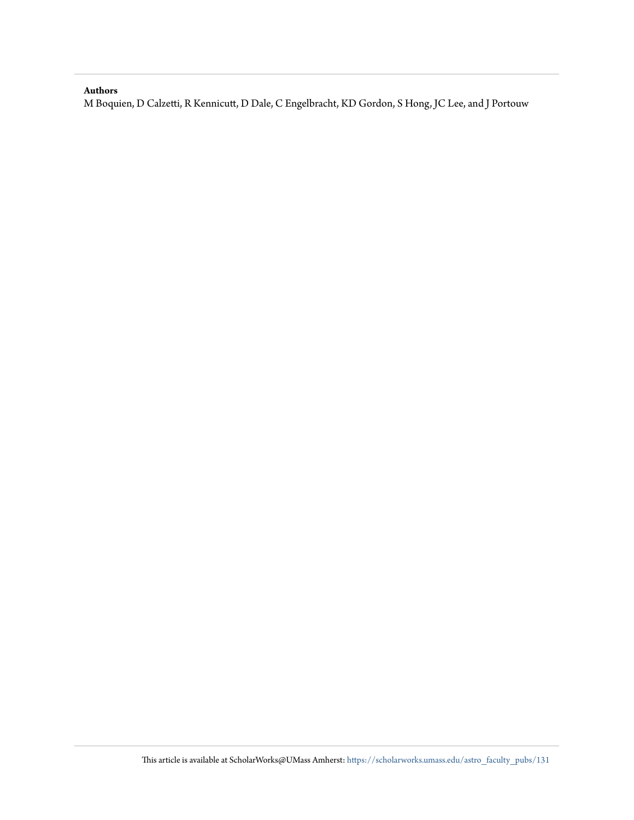# **Authors**

M Boquien, D Calzetti, R Kennicutt, D Dale, C Engelbracht, KD Gordon, S Hong, JC Lee, and J Portouw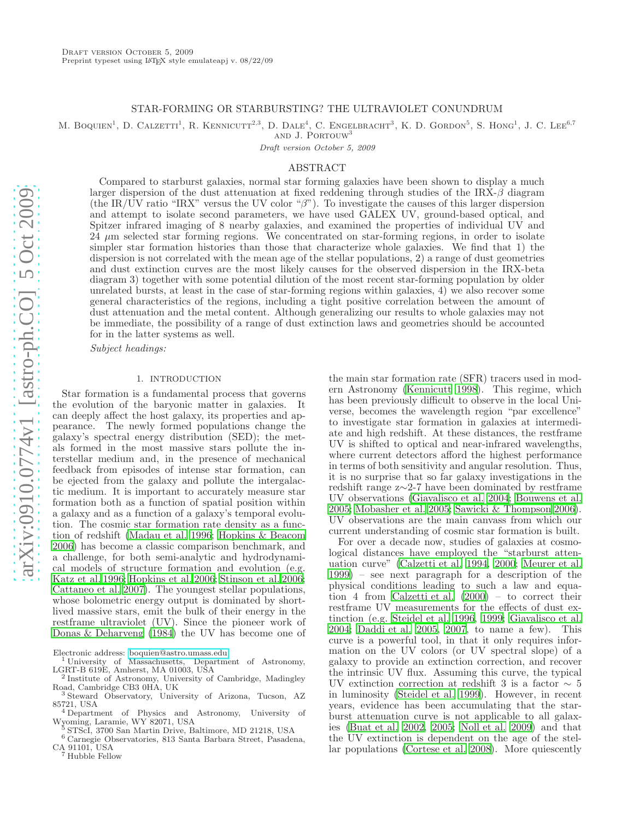#### STAR-FORMING OR STARBURSTING? THE ULTRAVIOLET CONUNDRUM

M. BOQUIEN<sup>1</sup>, D. CALZETTI<sup>1</sup>, R. KENNICUTT<sup>2,3</sup>, D. DALE<sup>4</sup>, C. ENGELBRACHT<sup>3</sup>, K. D. GORDON<sup>5</sup>, S. HONG<sup>1</sup>, J. C. LEE<sup>6,7</sup> and J. Portouw<sup>3</sup>

Draft version October 5, 2009

#### ABSTRACT

Compared to starburst galaxies, normal star forming galaxies have been shown to display a much larger dispersion of the dust attenuation at fixed reddening through studies of the IRX- $\beta$  diagram (the IR/UV ratio "IRX" versus the UV color " $\beta$ "). To investigate the causes of this larger dispersion and attempt to isolate second parameters, we have used GALEX UV, ground-based optical, and Spitzer infrared imaging of 8 nearby galaxies, and examined the properties of individual UV and 24 µm selected star forming regions. We concentrated on star-forming regions, in order to isolate simpler star formation histories than those that characterize whole galaxies. We find that 1) the dispersion is not correlated with the mean age of the stellar populations, 2) a range of dust geometries and dust extinction curves are the most likely causes for the observed dispersion in the IRX-beta diagram 3) together with some potential dilution of the most recent star-forming population by older unrelated bursts, at least in the case of star-forming regions within galaxies, 4) we also recover some general characteristics of the regions, including a tight positive correlation between the amount of dust attenuation and the metal content. Although generalizing our results to whole galaxies may not be immediate, the possibility of a range of dust extinction laws and geometries should be accounted for in the latter systems as well.

Subject headings:

#### 1. INTRODUCTION

Star formation is a fundamental process that governs the evolution of the baryonic matter in galaxies. It can deeply affect the host galaxy, its properties and appearance. The newly formed populations change the galaxy's spectral energy distribution (SED); the metals formed in the most massive stars pollute the interstellar medium and, in the presence of mechanical feedback from episodes of intense star formation, can be ejected from the galaxy and pollute the intergalactic medium. It is important to accurately measure star formation both as a function of spatial position within a galaxy and as a function of a galaxy's temporal evolution. The cosmic star formation rate density as a function of redshift [\(Madau et al. 1996](#page-19-0); [Hopkins & Beacom](#page-19-1) [2006\)](#page-19-1) has become a classic comparison benchmark, and a challenge, for both semi-analytic and hydrodynamical models of structure formation and evolution (e.g. [Katz et al. 1996;](#page-19-2) [Hopkins et al. 2006;](#page-19-3) [Stinson et al. 2006;](#page-19-4) [Cattaneo et al. 2007](#page-19-5)). The youngest stellar populations, whose bolometric energy output is dominated by shortlived massive stars, emit the bulk of their energy in the restframe ultraviolet (UV). Since the pioneer work of [Donas & Deharveng \(1984\)](#page-19-6) the UV has become one of

Electronic address: [boquien@astro.umass.edu](mailto:boquien@astro.umass.edu)

<sup>1</sup> University of Massachusetts, Department of Astronomy, LGRT-B 619E, Amherst, MA 01003, USA

 $^6$  Carnegie Observatories, 813 Santa Barbara Street, Pasadena,  $\,$ CA 91101, USA

<sup>7</sup> Hubble Fellow

the main star formation rate (SFR) tracers used in modern Astronomy [\(Kennicutt 1998\)](#page-19-7). This regime, which has been previously difficult to observe in the local Universe, becomes the wavelength region "par excellence" to investigate star formation in galaxies at intermediate and high redshift. At these distances, the restframe UV is shifted to optical and near-infrared wavelengths, where current detectors afford the highest performance in terms of both sensitivity and angular resolution. Thus, it is no surprise that so far galaxy investigations in the redshift range z∼2-7 have been dominated by restframe UV observations [\(Giavalisco et al. 2004;](#page-19-8) [Bouwens et al.](#page-19-9) [2005;](#page-19-9) [Mobasher et al. 2005;](#page-19-10) [Sawicki & Thompson 2006](#page-19-11)). UV observations are the main canvass from which our current understanding of cosmic star formation is built.

For over a decade now, studies of galaxies at cosmological distances have employed the "starburst attenuation curve" [\(Calzetti et al. 1994,](#page-19-12) [2000;](#page-19-13) [Meurer et al.](#page-19-14) [1999\)](#page-19-14) – see next paragraph for a description of the physical conditions leading to such a law and equation 4 from [Calzetti et al. \(2000\)](#page-19-13) – to correct their restframe UV measurements for the effects of dust extinction (e.g. [Steidel et al. 1996,](#page-19-15) [1999;](#page-19-16) [Giavalisco et al.](#page-19-8) [2004;](#page-19-8) [Daddi et al. 2005,](#page-19-17) [2007](#page-19-18), to name a few). This curve is a powerful tool, in that it only requires information on the UV colors (or UV spectral slope) of a galaxy to provide an extinction correction, and recover the intrinsic UV flux. Assuming this curve, the typical UV extinction correction at redshift 3 is a factor  $\sim 5$ in luminosity [\(Steidel et al. 1999\)](#page-19-16). However, in recent years, evidence has been accumulating that the starburst attenuation curve is not applicable to all galaxies [\(Buat et al. 2002,](#page-19-19) [2005;](#page-19-20) [Noll et al. 2009\)](#page-19-21) and that the UV extinction is dependent on the age of the stellar populations [\(Cortese et al. 2008](#page-19-22)). More quiescently

<sup>2</sup> Institute of Astronomy, University of Cambridge, Madingley Road, Cambridge CB3 0HA, UK

<sup>3</sup> Steward Observatory, University of Arizona, Tucson, AZ 85721, USA <sup>4</sup> Department of Physics and Astronomy, University of

Wyoming, Laramie, WY 82071, USA

<sup>5</sup> STScI, 3700 San Martin Drive, Baltimore, MD 21218, USA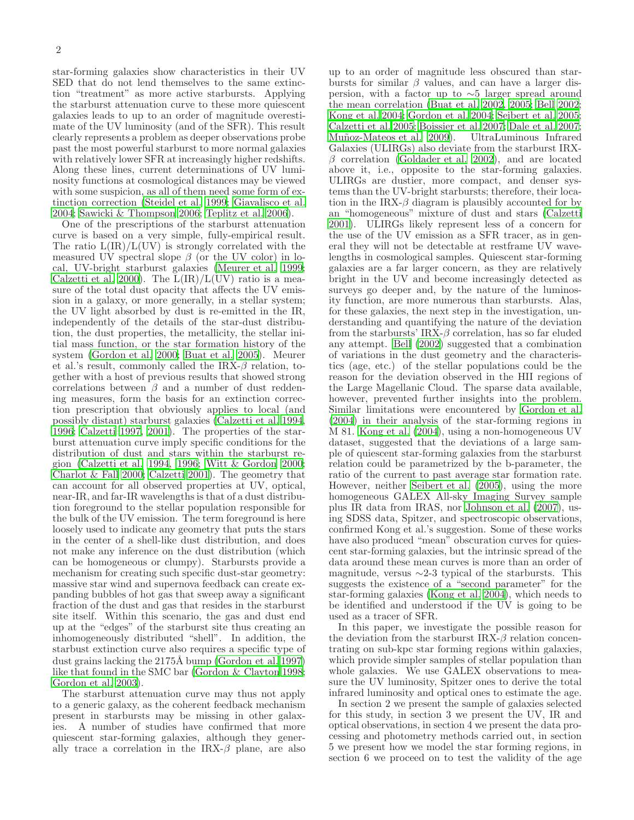star-forming galaxies show characteristics in their UV SED that do not lend themselves to the same extinction "treatment" as more active starbursts. Applying the starburst attenuation curve to these more quiescent galaxies leads to up to an order of magnitude overestimate of the UV luminosity (and of the SFR). This result clearly represents a problem as deeper observations probe past the most powerful starburst to more normal galaxies with relatively lower SFR at increasingly higher redshifts. Along these lines, current determinations of UV luminosity functions at cosmological distances may be viewed with some suspicion, as all of them need some form of extinction correction [\(Steidel et al. 1999;](#page-19-16) [Giavalisco et al.](#page-19-8) [2004;](#page-19-8) [Sawicki & Thompson 2006;](#page-19-11) [Teplitz et al. 2006\)](#page-19-23).

One of the prescriptions of the starburst attenuation curve is based on a very simple, fully-empirical result. The ratio  $L(IR)/L(UV)$  is strongly correlated with the measured UV spectral slope  $\beta$  (or the UV color) in local, UV-bright starburst galaxies [\(Meurer et al. 1999;](#page-19-14) [Calzetti et al. 2000\)](#page-19-13). The  $\overline{L}(\text{IR})/L(\text{UV})$  ratio is a measure of the total dust opacity that affects the UV emission in a galaxy, or more generally, in a stellar system; the UV light absorbed by dust is re-emitted in the IR, independently of the details of the star-dust distribution, the dust properties, the metallicity, the stellar initial mass function, or the star formation history of the system [\(Gordon et al. 2000](#page-19-24); [Buat et al. 2005\)](#page-19-20). Meurer et al.'s result, commonly called the  $IRX-\beta$  relation, together with a host of previous results that showed strong correlations between  $\beta$  and a number of dust reddening measures, form the basis for an extinction correction prescription that obviously applies to local (and possibly distant) starburst galaxies [\(Calzetti et al. 1994,](#page-19-12) [1996;](#page-19-25) [Calzetti 1997,](#page-19-26) [2001\)](#page-19-27). The properties of the starburst attenuation curve imply specific conditions for the distribution of dust and stars within the starburst region [\(Calzetti et al. 1994](#page-19-12), [1996](#page-19-25); [Witt & Gordon 2000;](#page-19-28) [Charlot & Fall 2000;](#page-19-29) [Calzetti 2001\)](#page-19-27). The geometry that can account for all observed properties at UV, optical, near-IR, and far-IR wavelengths is that of a dust distribution foreground to the stellar population responsible for the bulk of the UV emission. The term foreground is here loosely used to indicate any geometry that puts the stars in the center of a shell-like dust distribution, and does not make any inference on the dust distribution (which can be homogeneous or clumpy). Starbursts provide a mechanism for creating such specific dust-star geometry: massive star wind and supernova feedback can create expanding bubbles of hot gas that sweep away a significant fraction of the dust and gas that resides in the starburst site itself. Within this scenario, the gas and dust end up at the "edges" of the starburst site thus creating an inhomogeneously distributed "shell". In addition, the starbust extinction curve also requires a specific type of dust grains lacking the  $2175\text{\AA}$  bump [\(Gordon et al. 1997](#page-19-30)) like that found in the SMC bar [\(Gordon & Clayton 1998;](#page-19-31) [Gordon et al. 2003](#page-19-32)).

The starburst attenuation curve may thus not apply to a generic galaxy, as the coherent feedback mechanism present in starbursts may be missing in other galaxies. A number of studies have confirmed that more quiescent star-forming galaxies, although they generally trace a correlation in the IRX- $\beta$  plane, are also up to an order of magnitude less obscured than starbursts for similar  $\beta$  values, and can have a larger dispersion, with a factor up to ∼5 larger spread around the mean correlation [\(Buat et al. 2002](#page-19-19), [2005;](#page-19-20) [Bell 2002](#page-19-33); [Kong et al. 2004;](#page-19-34) [Gordon et al. 2004;](#page-19-35) [Seibert et al. 2005](#page-19-36); [Calzetti et al. 2005;](#page-19-37) [Boissier et al. 2007;](#page-19-38) [Dale et al. 2007](#page-19-39); Muñoz-Mateos et al. 2009). UltraLuminous Infrared Galaxies (ULIRGs) also deviate from the starburst IRX- $\beta$  correlation [\(Goldader et al. 2002\)](#page-19-41), and are located above it, i.e., opposite to the star-forming galaxies. ULIRGs are dustier, more compact, and denser systems than the UV-bright starbursts; therefore, their location in the IRX- $\beta$  diagram is plausibly accounted for by an "homogeneous" mixture of dust and stars [\(Calzetti](#page-19-27) [2001\)](#page-19-27). ULIRGs likely represent less of a concern for the use of the UV emission as a SFR tracer, as in general they will not be detectable at restframe UV wavelengths in cosmological samples. Quiescent star-forming galaxies are a far larger concern, as they are relatively bright in the UV and become increasingly detected as surveys go deeper and, by the nature of the luminosity function, are more numerous than starbursts. Alas, for these galaxies, the next step in the investigation, understanding and quantifying the nature of the deviation from the starbursts' IRX- $\beta$  correlation, has so far eluded any attempt. [Bell \(2002\)](#page-19-33) suggested that a combination of variations in the dust geometry and the characteristics (age, etc.) of the stellar populations could be the reason for the deviation observed in the HII regions of the Large Magellanic Cloud. The sparse data available, however, prevented further insights into the problem. Similar limitations were encountered by [Gordon et al.](#page-19-35) [\(2004\)](#page-19-35) in their analysis of the star-forming regions in M 81. [Kong et al. \(2004\)](#page-19-34), using a non-homogeneous UV dataset, suggested that the deviations of a large sample of quiescent star-forming galaxies from the starburst relation could be parametrized by the b-parameter, the ratio of the current to past average star formation rate. However, neither [Seibert et al. \(2005\)](#page-19-36), using the more homogeneous GALEX All-sky Imaging Survey sample plus IR data from IRAS, nor [Johnson et al. \(2007\)](#page-19-42), using SDSS data, Spitzer, and spectroscopic observations, confirmed Kong et al.'s suggestion. Some of these works have also produced "mean" obscuration curves for quiescent star-forming galaxies, but the intrinsic spread of the data around these mean curves is more than an order of magnitude, versus  $\sim$ 2-3 typical of the starbursts. This suggests the existence of a "second parameter" for the star-forming galaxies [\(Kong et al. 2004\)](#page-19-34), which needs to be identified and understood if the UV is going to be used as a tracer of SFR.

In this paper, we investigate the possible reason for the deviation from the starburst IRX- $\beta$  relation concentrating on sub-kpc star forming regions within galaxies, which provide simpler samples of stellar population than whole galaxies. We use GALEX observations to measure the UV luminosity, Spitzer ones to derive the total infrared luminosity and optical ones to estimate the age.

In section 2 we present the sample of galaxies selected for this study, in section 3 we present the UV, IR and optical observations, in section 4 we present the data processing and photometry methods carried out, in section 5 we present how we model the star forming regions, in section 6 we proceed on to test the validity of the age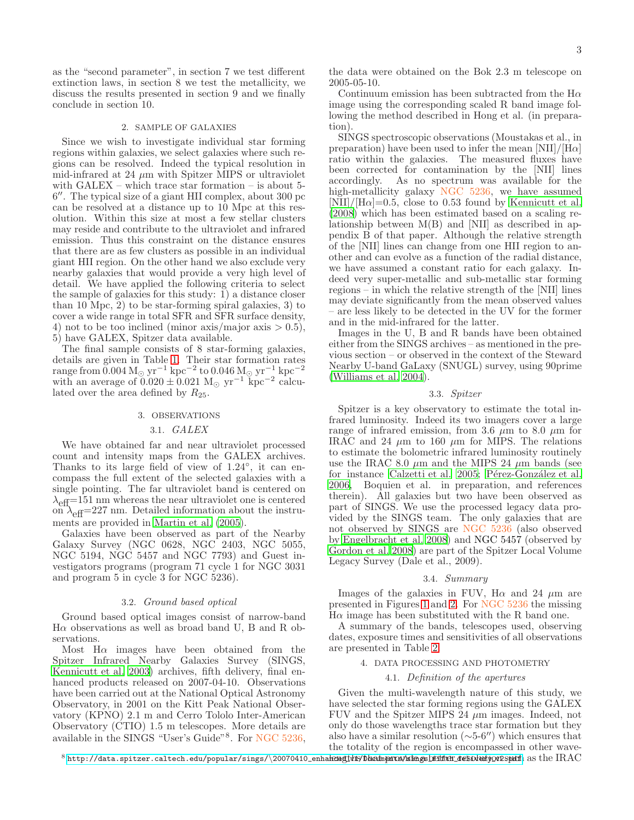as the "second parameter", in section 7 we test different extinction laws, in section 8 we test the metallicity, we discuss the results presented in section 9 and we finally conclude in section 10.

#### 2. SAMPLE OF GALAXIES

Since we wish to investigate individual star forming regions within galaxies, we select galaxies where such regions can be resolved. Indeed the typical resolution in mid-infrared at 24  $\mu$ m with Spitzer MIPS or ultraviolet with GALEX – which trace star formation – is about 5- 6 ′′. The typical size of a giant HII complex, about 300 pc can be resolved at a distance up to 10 Mpc at this resolution. Within this size at most a few stellar clusters may reside and contribute to the ultraviolet and infrared emission. Thus this constraint on the distance ensures that there are as few clusters as possible in an individual giant HII region. On the other hand we also exclude very nearby galaxies that would provide a very high level of detail. We have applied the following criteria to select the sample of galaxies for this study: 1) a distance closer than 10 Mpc, 2) to be star-forming spiral galaxies, 3) to cover a wide range in total SFR and SFR surface density, 4) not to be too inclined (minor axis/major axis  $> 0.5$ ), 5) have GALEX, Spitzer data available.

The final sample consists of 8 star-forming galaxies, details are given in Table [1.](#page-5-0) Their star formation rates range from  $\rm 0.004\,M_{\odot}\,yr^{-1}\,kpc^{-2}$  to  $\rm 0.046\,M_{\odot}\,yr^{-1}\,kpc^{-2}$ with an average of  $0.020 \pm 0.021$  M<sub>☉</sub> yr<sup>-1</sup> kpc<sup>-2</sup> calculated over the area defined by  $R_{25}$ .

#### 3. OBSERVATIONS

#### 3.1. GALEX

We have obtained far and near ultraviolet processed count and intensity maps from the GALEX archives. Thanks to its large field of view of 1.24°, it can encompass the full extent of the selected galaxies with a single pointing. The far ultraviolet band is centered on  $\lambda_{\text{eff}}$ =151 nm whereas the near ultraviolet one is centered on  $\lambda_{\text{eff}}$ =227 nm. Detailed information about the instruments are provided in [Martin et al. \(2005\)](#page-19-43).

Galaxies have been observed as part of the Nearby Galaxy Survey (NGC 0628, NGC 2403, NGC 5055, NGC 5194, NGC 5457 and NGC 7793) and Guest investigators programs (program 71 cycle 1 for NGC 3031 and program 5 in cycle 3 for NGC 5236).

#### 3.2. Ground based optical

Ground based optical images consist of narrow-band  $H\alpha$  observations as well as broad band U, B and R observations.

Most  $H\alpha$  images have been obtained from the Spitzer Infrared Nearby Galaxies Survey (SINGS, [Kennicutt et al. 2003\)](#page-19-44) archives, fifth delivery, final enhanced products released on 2007-04-10. Observations have been carried out at the National Optical Astronomy Observatory, in 2001 on the Kitt Peak National Observatory (KPNO) 2.1 m and Cerro Tololo Inter-American Observatory (CTIO) 1.5 m telescopes. More details are available in the SINGS "User's Guide"<sup>8</sup>. For NGC 5236,

the data were obtained on the Bok 2.3 m telescope on 2005-05-10.

Continuum emission has been subtracted from the  $H\alpha$ image using the corresponding scaled R band image following the method described in Hong et al. (in preparation).

SINGS spectroscopic observations (Moustakas et al., in preparation) have been used to infer the mean  $[NII]/[H\alpha]$ ratio within the galaxies. The measured fluxes have been corrected for contamination by the [NII] lines accordingly. As no spectrum was available for the As no spectrum was available for the high-metallicity galaxy NGC 5236, we have assumed  $[NII]/[H\alpha]=0.5$ , close to 0.53 found by [Kennicutt et al.](#page-19-45) [\(2008\)](#page-19-45) which has been estimated based on a scaling relationship between M(B) and [NII] as described in appendix B of that paper. Although the relative strength of the [NII] lines can change from one HII region to another and can evolve as a function of the radial distance, we have assumed a constant ratio for each galaxy. Indeed very super-metallic and sub-metallic star forming regions – in which the relative strength of the [NII] lines may deviate significantly from the mean observed values – are less likely to be detected in the UV for the former and in the mid-infrared for the latter.

Images in the U, B and R bands have been obtained either from the SINGS archives – as mentioned in the previous section – or observed in the context of the Steward Nearby U-band GaLaxy (SNUGL) survey, using 90prime [\(Williams et al. 2004\)](#page-19-46).

#### 3.3. Spitzer

Spitzer is a key observatory to estimate the total infrared luminosity. Indeed its two imagers cover a large range of infrared emission, from 3.6  $\mu$ m to 8.0  $\mu$ m for IRAC and 24  $\mu$ m to 160  $\mu$ m for MIPS. The relations to estimate the bolometric infrared luminosity routinely use the IRAC 8.0  $\mu$ m and the MIPS 24  $\mu$ m bands (see for instance [Calzetti et al. 2005;](#page-19-37) Pérez-González et al. [2006,](#page-19-47) Boquien et al. in preparation, and references therein). All galaxies but two have been observed as part of SINGS. We use the processed legacy data provided by the SINGS team. The only galaxies that are not observed by SINGS are NGC 5236 (also observed by [Engelbracht et al. 2008\)](#page-19-48) and NGC 5457 (observed by [Gordon et al. 2008\)](#page-19-49) are part of the Spitzer Local Volume Legacy Survey (Dale et al., 2009).

#### 3.4. Summary

Images of the galaxies in FUV,  $H\alpha$  and 24  $\mu$ m are presented in Figures [1](#page-5-1) and [2.](#page-5-2) For NGC 5236 the missing  $H\alpha$  image has been substituted with the R band one.

A summary of the bands, telescopes used, observing dates, exposure times and sensitivities of all observations are presented in Table [2.](#page-6-0)

#### 4. DATA PROCESSING AND PHOTOMETRY

#### 4.1. Definition of the apertures

<span id="page-4-0"></span>Given the multi-wavelength nature of this study, we have selected the star forming regions using the GALEX FUV and the Spitzer MIPS 24  $\mu$ m images. Indeed, not only do those wavelengths trace star formation but they also have a similar resolution (∼5-6′′) which ensures that the totality of the region is encompassed in other wave-

 $^8$  http://data.spitzer.caltech.edu/popular/sings/\20070410\_enha $\kappa$ ed this/ $\rm{b}$ katmpnros/ishags bæitten\_desolertjov $\rm{v}$ spidh as the  $\rm{IRAC}$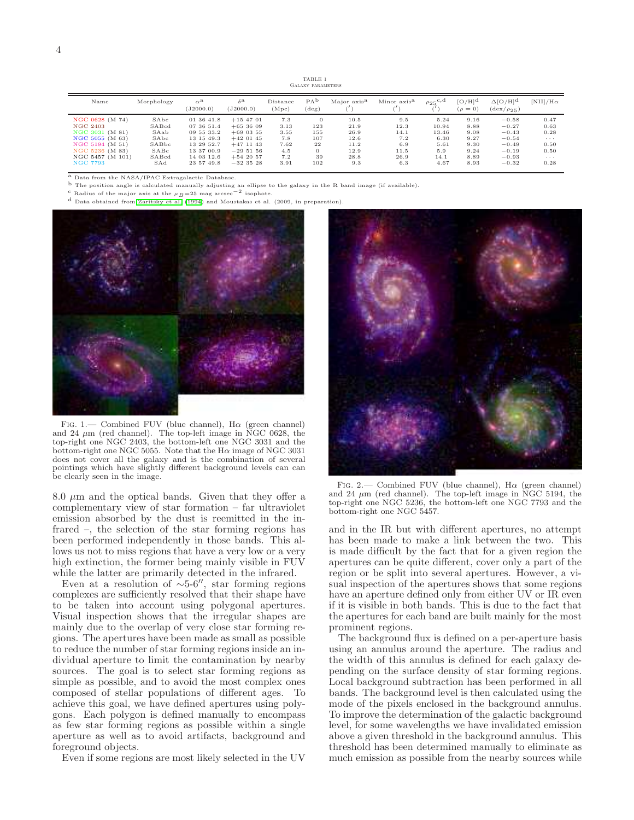TABLE 1 Galaxy parameters

<span id="page-5-0"></span>

| Name             | Morphology | $\alpha^{\mathrm{a}}$<br>(J2000.0) | $\delta^{\mathbf{a}}$<br>(J2000.0) | Distance<br>(Mpc) | PA <sup>D</sup><br>$(\text{deg})$ | Major axis <sup>a</sup> | Minor axis <sup>a</sup> | $\rho_{25}^{\mathrm{c,d}}$ | $\rm [O/H]^d$<br>$(\rho = 0)$ | $\Delta$ [O/H] <sup>d</sup><br>$(\text{dex}/\rho_{25})$ | $\left[\text{NII}\right]/\text{H}\alpha$ |
|------------------|------------|------------------------------------|------------------------------------|-------------------|-----------------------------------|-------------------------|-------------------------|----------------------------|-------------------------------|---------------------------------------------------------|------------------------------------------|
| NGC 0628 (M 74)  | SAbc       | 01 36 41.8                         | $+15$ 47 01                        | 7.3               | $\theta$                          | 10.5                    | 9.5                     | 5.24                       | 9.16                          | $-0.58$                                                 | 0.47                                     |
| <b>NGC 2403</b>  | SABcd      | 07 36 51.4                         | $+653609$                          | 3.13              | 123                               | 21.9                    | 12.3                    | 10.94                      | 8.88                          | $-0.27$                                                 | 0.63                                     |
| NGC 3031 (M 81)  | SAab       | 09 55 33.2                         | $+69$ 03 55                        | 3.55              | 155                               | 26.9                    | 14.1                    | 13.46                      | 9.08                          | $-0.43$                                                 | 0.28                                     |
| NGC 5055 (M 63)  | SAbc       | 13 15 49.3                         | $+42$ 01 45                        | 7.8               | 107                               | 12.6                    | 7.2                     | 6.30                       | 9.27                          | $-0.54$                                                 | $\sim$ $\sim$ $\sim$                     |
| NGC 5194 (M 51)  | SABbc      | 13 29 52.7                         | $+47$ 11 43                        | 7.62              | 22                                | 11.2                    | 6.9                     | 5.61                       | 9.30                          | $-0.49$                                                 | 0.50                                     |
| NGC 5236 (M 83)  | SABC       | 13 37 00.9                         | $-295156$                          | 4.5               | $\Omega$                          | 12.9                    | 11.5                    | 5.9                        | 9.24                          | $-0.19$                                                 | 0.50                                     |
| NGC 5457 (M 101) | SABcd      | 14 03 12.6                         | $+542057$                          | 7.2               | 39                                | 28.8                    | 26.9                    | 14.1                       | 8.89                          | $-0.93$                                                 | $\sim$ $\sim$ $\sim$                     |
| <b>NGC 7793</b>  | SAd        | 23 57 49.8                         | $-32$ 35 28                        | 3.91              | 102                               | 9.3                     | 6.3                     | 4.67                       | 8.93                          | $-0.32$                                                 | 0.28                                     |

 $^{\rm a}$  Data from the NASA/IPAC Extragalactic Database

<sup>b</sup> The position angle is calculated manually adjusting an ellipse to the galaxy in the R band image (if available). <sup>c</sup> Radius of the major axis at the  $\mu_B=25$  mag arcsec<sup>-2</sup> isophote.

d Data obtained from [Zaritsky et al. \(1994](#page-19-50)) and Moustakas et al. (2009, in preparation).



<span id="page-5-1"></span>Fig. 1.— Combined FUV (blue channel),  $H\alpha$  (green channel) and 24  $\mu$ m (red channel). The top-left image in NGC 0628, the top-right one NGC 2403, the bottom-left one NGC 3031 and the bottom-right one NGC 5055. Note that the H $\alpha$  image of NGC 3031 does not cover all the galaxy and is the combination of several pointings which have slightly different background levels can can be clearly seen in the image.

8.0  $\mu$ m and the optical bands. Given that they offer a complementary view of star formation – far ultraviolet emission absorbed by the dust is reemitted in the infrared –, the selection of the star forming regions has been performed independently in those bands. This allows us not to miss regions that have a very low or a very high extinction, the former being mainly visible in FUV while the latter are primarily detected in the infrared.

Even at a resolution of  $\sim$ 5-6″, star forming regions complexes are sufficiently resolved that their shape have to be taken into account using polygonal apertures. Visual inspection shows that the irregular shapes are mainly due to the overlap of very close star forming regions. The apertures have been made as small as possible to reduce the number of star forming regions inside an individual aperture to limit the contamination by nearby sources. The goal is to select star forming regions as simple as possible, and to avoid the most complex ones composed of stellar populations of different ages. To achieve this goal, we have defined apertures using polygons. Each polygon is defined manually to encompass as few star forming regions as possible within a single aperture as well as to avoid artifacts, background and foreground objects.

Even if some regions are most likely selected in the UV



FIG. 2.— Combined FUV (blue channel),  $H\alpha$  (green channel) and 24  $\mu$ m (red channel). The top-left image in NGC 5194, the top-right one NGC 5236, the bottom-left one NGC 7793 and the bottom-right one NGC 5457.

<span id="page-5-2"></span>and in the IR but with different apertures, no attempt has been made to make a link between the two. This is made difficult by the fact that for a given region the apertures can be quite different, cover only a part of the region or be split into several apertures. However, a visual inspection of the apertures shows that some regions have an aperture defined only from either UV or IR even if it is visible in both bands. This is due to the fact that the apertures for each band are built mainly for the most prominent regions.

The background flux is defined on a per-aperture basis using an annulus around the aperture. The radius and the width of this annulus is defined for each galaxy depending on the surface density of star forming regions. Local background subtraction has been performed in all bands. The background level is then calculated using the mode of the pixels enclosed in the background annulus. To improve the determination of the galactic background level, for some wavelengths we have invalidated emission above a given threshold in the background annulus. This threshold has been determined manually to eliminate as much emission as possible from the nearby sources while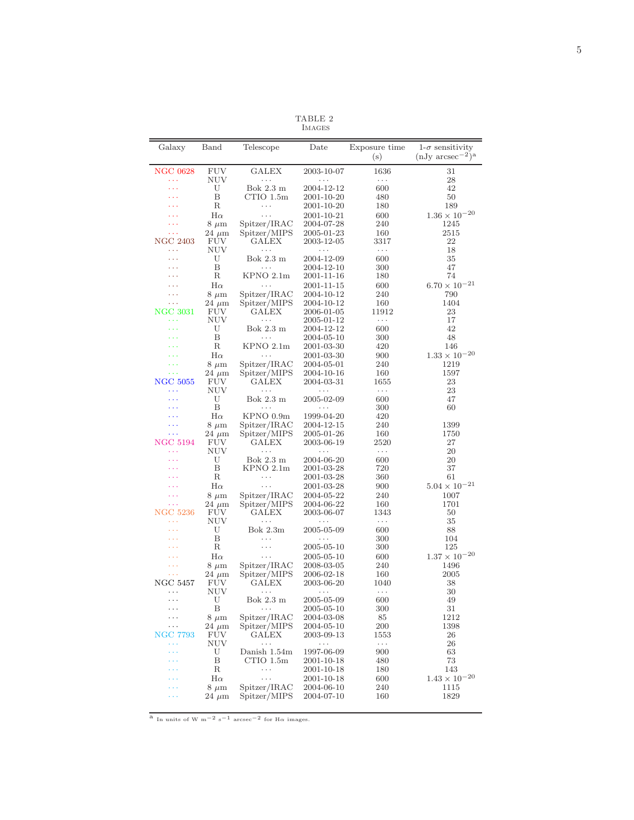TABLE 2 IMAGES

<span id="page-6-0"></span>

| Galaxy                 | Band              | Telescope                    | Date                     | Exposure time | $1-\sigma$ sensitivity  |  |
|------------------------|-------------------|------------------------------|--------------------------|---------------|-------------------------|--|
|                        |                   |                              |                          | (s)           | $(nJy \ arcsec^{-2})^a$ |  |
| <b>NGC 0628</b><br>222 | FUV<br>NUV        | GALEX<br>.                   | 2003-10-07<br>.          | 1636<br>.     | 31<br>28                |  |
| 444                    | U                 | Bok 2.3 m                    | 2004-12-12               | 600           | 42                      |  |
| .                      | Β                 | $CTIO$ 1.5m                  | 2001-10-20               | 480           | 50                      |  |
|                        | R                 | .                            | 2001-10-20               | 180           | 189                     |  |
|                        | $_{\rm H\alpha}$  | .                            | 2001-10-21               | 600           | $1.36\times10^{-20}$    |  |
|                        | $8~\mu m$         | Spitzer/IRAC                 | 2004-07-28               | 240           | 1245                    |  |
| .                      | $24~\mu m$        | Spitzer/MIPS                 | 2005-01-23               | 160           | 2515                    |  |
| <b>NGC 2403</b>        | FUV               | GALEX                        | 2003-12-05               | 3317          | 22                      |  |
| .                      | NUV               | .                            | $\cdots$                 | $\cdots$      | 18                      |  |
| 444                    | U                 | Bok 2.3 m<br>.               | 2004-12-09               | 600           | 35                      |  |
| $\cdots$               | Β<br>R            |                              | 2004-12-10               | 300           | 47<br>74                |  |
| .                      |                   | KPNO 2.1m<br>.               | 2001-11-16               | 180           | $6.70\times10^{-21}$    |  |
| $\sim$ $\sim$          | $H\alpha$         |                              | 2001-11-15               | 600           |                         |  |
| .                      | $8~\mu m$         | Spitzer/IRAC<br>Spitzer/MIPS | 2004-10-12<br>2004-10-12 | 240<br>160    | 790<br>1404             |  |
| NGC 3031               | $24~\mu m$<br>FUV | GALEX                        | 2006-01-05               | 11912         | 23                      |  |
| .                      | NUV               | .                            | 2005-01-12               | $\cdots$      | 17                      |  |
| .                      | U                 | Bok 2.3 m                    | 2004-12-12               | 600           | 42                      |  |
|                        | Β                 | $\ldots$                     | 2004-05-10               | 300           | 48                      |  |
|                        | R                 | $KPNO$ 2.1m                  | 2001-03-30               | 420           | 146                     |  |
|                        | $_{\rm H\alpha}$  | .                            | 2001-03-30               | 900           | $1.33\times10^{-20}$    |  |
|                        | $8~\mu m$         | Spitzer/IRAC                 | 2004-05-01               | 240           | 1219                    |  |
|                        | $24~\mu m$        | Spitzer/MIPS                 | 2004-10-16               | 160           | 1597                    |  |
| NGC 5055               | FUV               | GALEX                        | 2004-03-31               | 1655          | 23                      |  |
| .                      | NUV               | $\cdots$                     | $\cdots$                 | $\cdots$      | 23                      |  |
| .                      | U                 | Bok 2.3 m                    | 2005-02-09               | 600           | 47                      |  |
|                        | Β                 |                              | .                        | 300           | 60                      |  |
| .                      | $H\alpha$         | KPNO 0.9m                    | 1999-04-20               | 420           |                         |  |
| .                      | $8~\mu m$         | Spitzer/IRAC                 | 2004-12-15               | 240           | 1399                    |  |
| .                      | $24~\mu m$        | Spitzer/MIPS                 | 2005-01-26               | 160           | 1750                    |  |
| NGC 5194               | FUV               | GALEX                        | 2003-06-19               | $2520\,$      | 27                      |  |
| $\cdots$<br>.          | <b>NUV</b><br>U   | .<br>Bok 2.3 m               | .                        | .<br>600      | 20<br>20                |  |
|                        | Β                 | KPNO 2.1m                    | 2004-06-20<br>2001-03-28 | 720           | 37                      |  |
|                        | R                 | .                            | 2001-03-28               | 360           | 61                      |  |
| $\cdots$               | $H\alpha$         | $\cdots$                     | 2001-03-28               | 900           | $5.04\times10^{-21}$    |  |
|                        | $8~\mu m$         | Spitzer/IRAC                 | 2004-05-22               | 240           | 1007                    |  |
| $\cdots$               | $24~\mu m$        | Spitzer/MIPS                 | 2004-06-22               | 160           | 1701                    |  |
| <b>NGC 5236</b>        | <b>FUV</b>        | GALEX                        | 2003-06-07               | 1343          | 50                      |  |
| $\cdots$               | NUV               | $\cdots$                     | .                        | .             | 35                      |  |
|                        | U                 | Bok 2.3m                     | 2005-05-09               | 600           | 88                      |  |
|                        | Β                 | .                            | $\cdots$                 | 300           | 104                     |  |
|                        | R                 | .                            | 2005-05-10               | 300           | 125                     |  |
|                        | $_{\rm H\alpha}$  |                              | 2005-05-10               | 600           | $1.37\times10^{-20}$    |  |
| .                      | $8~\mu m$         | Spitzer/IRAC                 | 2008-03-05               | 240           | 1496                    |  |
|                        | $24~\mu m$        | Spitzer/MIPS                 | 2006-02-18               | 160           | 2005                    |  |
| NGC 5457               | FUV               | GALEX                        | 2003-06-20               | 1040          | 38                      |  |
| $\cdots$               | NUV               | $\cdots$                     | $\cdots$                 | $\ldots$      | 30                      |  |
| .                      | U                 | Bok 2.3 m                    | 2005-05-09               | 600           | 49                      |  |
| .<br>.                 | Β<br>$8 \mu m$    | $\cdots$<br>Spitzer/IRAC     | 2005-05-10               | 300           | 31<br>1212              |  |
| .                      | $24 \mu m$        | Spitzer/MIPS                 | 2004-03-08<br>2004-05-10 | 85<br>200     | 1398                    |  |
| NGC 7793               | FUV               | GALEX                        | 2003-09-13               | 1553          | 26                      |  |
| .                      | <b>NUV</b>        | .                            | $\cdots$                 | $\ldots$      | 26                      |  |
|                        | U                 | Danish 1.54m                 | 1997-06-09               | 900           | 63                      |  |
|                        | Β                 | CTIO 1.5m                    | 2001-10-18               | 480           | 73                      |  |
|                        | R                 | $\cdots$                     | 2001-10-18               | 180           | 143                     |  |
|                        | $_{\rm H\alpha}$  | $\cdots$                     | 2001-10-18               | 600           | $1.43 \times 10^{-20}$  |  |
|                        | $8~\mu m$         | Spitzer/IRAC                 | 2004-06-10               | 240           | 1115                    |  |
|                        | $24~\mu m$        | Spitzer/MIPS                 | 2004-07-10               | 160           | 1829                    |  |
|                        |                   |                              |                          |               |                         |  |

 $a$  In units of W m<sup>-2</sup> s<sup>-1</sup> arcsec<sup>-2</sup> for H $\alpha$  images.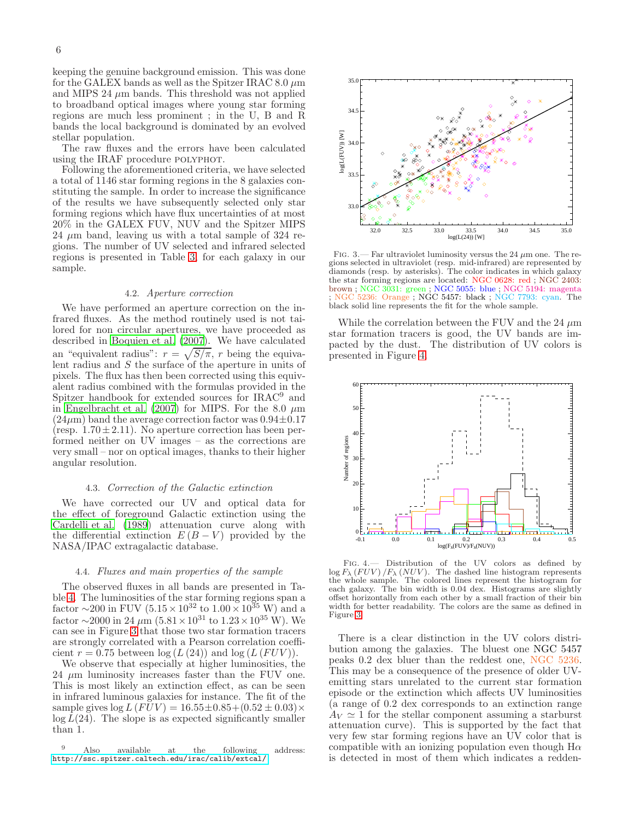keeping the genuine background emission. This was done for the GALEX bands as well as the Spitzer IRAC 8.0  $\mu$ m and MIPS 24  $\mu$ m bands. This threshold was not applied to broadband optical images where young star forming regions are much less prominent ; in the U, B and R bands the local background is dominated by an evolved stellar population.

The raw fluxes and the errors have been calculated using the IRAF procedure POLYPHOT.

Following the aforementioned criteria, we have selected a total of 1146 star forming regions in the 8 galaxies constituting the sample. In order to increase the significance of the results we have subsequently selected only star forming regions which have flux uncertainties of at most 20% in the GALEX FUV, NUV and the Spitzer MIPS 24  $\mu$ m band, leaving us with a total sample of 324 regions. The number of UV selected and infrared selected regions is presented in Table [3,](#page-8-0) for each galaxy in our sample.

#### 4.2. Aperture correction

We have performed an aperture correction on the infrared fluxes. As the method routinely used is not tailored for non circular apertures, we have proceeded as described in [Boquien et al. \(2007\)](#page-19-51). We have calculated an "equivalent radius":  $r = \sqrt{S/\pi}$ , r being the equivalent radius and  $S$  the surface of the aperture in units of pixels. The flux has then been corrected using this equivalent radius combined with the formulas provided in the Spitzer handbook for extended sources for IRAC<sup>9</sup> and in [Engelbracht et al. \(2007\)](#page-19-52) for MIPS. For the 8.0  $\mu$ m  $(24\mu m)$  band the average correction factor was  $0.94\pm0.17$ (resp.  $1.70 \pm 2.11$ ). No aperture correction has been performed neither on UV images – as the corrections are very small – nor on optical images, thanks to their higher angular resolution.

#### 4.3. Correction of the Galactic extinction

We have corrected our UV and optical data for the effect of foreground Galactic extinction using the [Cardelli et al. \(1989\)](#page-19-53) attenuation curve along with the differential extinction  $E(B-V)$  provided by the NASA/IPAC extragalactic database.

#### 4.4. Fluxes and main properties of the sample

The observed fluxes in all bands are presented in Table [4.](#page-8-1) The luminosities of the star forming regions span a factor  $\sim$ 200 in FUV (5.15 × 10<sup>32</sup> to 1.00 × 10<sup>35</sup> W) and a factor  $\sim$ 2000 in 24  $\mu$ m (5.81 × 10<sup>31</sup> to 1.23 × 10<sup>35</sup> W). We can see in Figure [3](#page-7-0) that those two star formation tracers are strongly correlated with a Pearson correlation coefficient  $r = 0.75$  between  $\log(L (24))$  and  $\log(L (FUV))$ .

We observe that especially at higher luminosities, the 24  $\mu$ m luminosity increases faster than the FUV one. This is most likely an extinction effect, as can be seen in infrared luminous galaxies for instance. The fit of the sample gives  $\log L (FUV) = 16.55 \pm 0.85 + (0.52 \pm 0.03) \times$  $\log L(24)$ . The slope is as expected significantly smaller than 1.

<sup>9</sup> Also available at the following address: <http://ssc.spitzer.caltech.edu/irac/calib/extcal/>.



<span id="page-7-0"></span>FIG. 3.— Far ultraviolet luminosity versus the 24  $\mu$ m one. The regions selected in ultraviolet (resp. mid-infrared) are represented by diamonds (resp. by asterisks). The color indicates in which galaxy the star forming regions are located: NGC 0628: red ; NGC 2403: brown ; NGC 3031: green ; NGC 5055: blue ; NGC 5194: magenta ; NGC 5236: Orange ; NGC 5457: black ; NGC 7793: cyan. The black solid line represents the fit for the whole sample.

While the correlation between the FUV and the 24  $\mu$ m star formation tracers is good, the UV bands are impacted by the dust. The distribution of UV colors is presented in Figure [4.](#page-7-1)



<span id="page-7-1"></span>Fig. 4.— Distribution of the UV colors as defined by  $\log F_{\lambda} (FUV) / F_{\lambda} (NUV)$ . The dashed line histogram represents the whole sample. The colored lines represent the histogram for each galaxy. The bin width is 0.04 dex. Histograms are slightly offset horizontally from each other by a small fraction of their bin width for better readability. The colors are the same as defined in Figure [3.](#page-7-0)

There is a clear distinction in the UV colors distribution among the galaxies. The bluest one NGC 5457 peaks 0.2 dex bluer than the reddest one, NGC 5236. This may be a consequence of the presence of older UVemitting stars unrelated to the current star formation episode or the extinction which affects UV luminosities (a range of 0.2 dex corresponds to an extinction range  $A_V \simeq 1$  for the stellar component assuming a starburst attenuation curve). This is supported by the fact that very few star forming regions have an UV color that is compatible with an ionizing population even though  $H\alpha$ is detected in most of them which indicates a redden-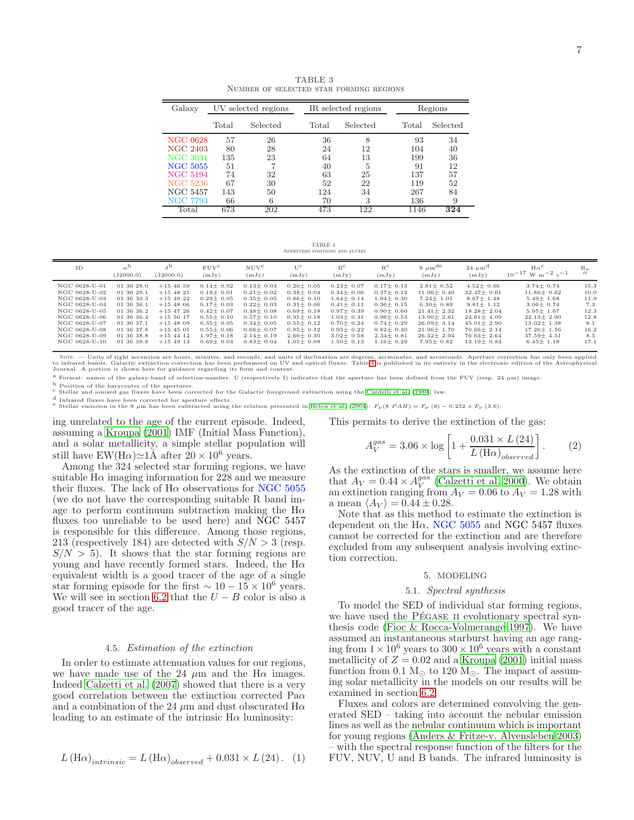<span id="page-8-0"></span>Galaxy UV selected regions IR selected regions Regions Total Selected Total Selected Total Selected NGC 0628 57 26 36 8 93 34 NGC 2403 80 28 24 12 104 40 NGC 3031 135 23 64 13 199 36  $\begin{array}{ccccccccc} \text{NGC 5055} & & 51 & & 7 & & 40 & & 5 & & 91 & & 12 \\ \text{NGC 5194} & & 74 & & 32 & & 63 & & 25 & & 137 & & 57 \\ \end{array}$ NGC 5194 74 32 63 25 137 57 NGC 5236 67 30 52 22 119 52 NGC 5457 143 50 124 34 267 84 NGC 7793 66 6 70 3 136 9 Total 673 202 473 122 1146 **324** 

TABLE 3 Number of selected star forming regions

TABLE 4 Apertures positions and fluxes

<span id="page-8-1"></span>

| ID            | $\alpha^{\rm b}$<br>(J2000.0) | $\delta^{\rm b}$<br>(J2000.0) | $FUV^c$<br>(mJy) | NUV <sup>c</sup><br>(mJy) | $U^{\rm C}$<br>(mJy) | $B^c$<br>(mJy) | $R^c$<br>(mJy) | $8 \mu m$ <sup>de</sup><br>(mJy) | $24 \mu m^d$<br>(mJy) | $H\alpha^C$<br>$-2$ <sub>s</sub> $-1$<br>$10^{-17}$ W m <sup>-1</sup> | $R_e$<br>$^{\prime\prime}$ |
|---------------|-------------------------------|-------------------------------|------------------|---------------------------|----------------------|----------------|----------------|----------------------------------|-----------------------|-----------------------------------------------------------------------|----------------------------|
| NGC 0628-U-01 | 01 36 28.0                    | $+154659$                     | $0.14 + 0.02$    | $0.13 + 0.03$             | $0.20 + 0.05$        | $0.23 + 0.07$  | $0.17 + 0.13$  | $2.81 + 0.52$                    | $4.52 + 0.66$         | $3.74 + 0.74$                                                         | 15.3                       |
| NGC 0628-U-02 | 01 36 29.1                    | $+15$ 48 21                   | $0.19 + 0.01$    | $0.21 + 0.02$             | $0.38 + 0.04$        | $0.34 + 0.06$  | $0.37 + 0.12$  | $11.96 + 0.40$                   | $32.47 + 0.61$        | $11.86 + 0.62$                                                        | 10.0                       |
| NGC 0628-U-03 | 01 36 30.3                    | $+154922$                     | $0.29 + 0.05$    | $0.35 + 0.05$             | $0.86 + 0.10$        | $1.64 + 0.14$  | $1.94 + 0.30$  | $7.24 + 1.01$                    | $8.67 + 1.48$         | $5.49 + 1.68$                                                         | 11.9                       |
| NGC 0628-U-04 | 01 36 36.1                    | $+15$ 48 06                   | $0.17 + 0.03$    | $0.22 + 0.03$             | $0.31 + 0.06$        | $0.41 + 0.11$  | $0.36 + 0.15$  | $6.30 + 0.89$                    | $9.81 + 1.12$         | $3.06 + 0.74$                                                         | 7.3                        |
| NGC 0628-U-05 | 01 36 36.2                    | $+15$ 47 26                   | $0.42 + 0.07$    | $0.48 + 0.08$             | $0.69 + 0.18$        | $0.97 + 0.39$  | $0.90 + 0.60$  | $21.41 + 2.32$                   | $18.28 + 2.04$        | $5.95 + 1.67$                                                         | 12.3                       |
| NGC 0628-U-06 | 01 36 36.4                    | $+155017$                     | $0.55 + 0.10$    | $0.57 + 0.10$             | $0.95 + 0.18$        | $1.03 + 0.31$  | $0.96 + 0.53$  | $13.90 + 2.61$                   | $24.61 + 4.09$        | $22.13 + 2.90$                                                        | 12.8                       |
| NGC 0628-U-07 | 01 36 37.1                    | $+154809$                     | $0.35 + 0.05$    | $0.34 + 0.05$             | $0.55 + 0.12$        | $0.70 + 0.24$  | $0.74 + 0.29$  | $26.09 + 3.14$                   | $45.01 + 2.90$        | $13.02 + 1.38$                                                        | 8.1                        |
| NGC 0628-U-08 | 01 36 37.8                    | $+15$ 45 01                   | $0.55 + 0.06$    | $0.66 + 0.07$             | $0.85 + 0.12$        | $0.95 + 0.22$  | $0.82 + 0.30$  | $21.96 + 1.70$                   | $70.66 + 2.14$        | $17.26 + 1.56$                                                        | 16.2                       |
| NGC 0628-U-09 | 01 36 38.8                    | $+15$ 44 12                   | $1.97 + 0.18$    | $2.14 + 0.19$             | $2.60 + 0.30$        | $3.02 + 0.58$  | $2.34 + 0.81$  | $26.32 + 2.94$                   | $76.63 + 2.64$        | $37.59 + 4.51$                                                        | 8.5                        |
| NGC 0628-U-10 | 01 36 38.8                    | $+15$ 49 13                   | $0.69 + 0.04$    | $0.83 + 0.04$             | $0.05 \pm 0.08$      | $1.50 + 0.13$  | $1.16 + 0.29$  | $7.95 + 0.82$                    | $13.19 + 0.83$        | $6.45 + 1.18$                                                         | 17.1                       |

Nore. — Units of right ascension are hours, minutes, and seconds, and units of declination are degrees, arcminutes, and arcseconds. Aperture correction has only been applied by the applied in its entirely in the electronic

a Format: names of the galaxy-band of selection-number. U (respectively I) indicates that the aperture has been defined from the FUV (resp. 24 µm) image.

b Position of the barycenter of the apertures.

c Stellar and ionized gas fluxes have been corrected for the Galactic foreground extinction using the [Cardelli et al. \(1989](#page-19-53)) law.

d Infrared fluxes have been corrected for aperture effects.

e Stellar emission in the 8  $\mu$ m has been subtracted using the relation presented in [Helou et al. \(2004](#page-19-54)):  $F_{\nu}$  (8 PAH) =  $F_{\nu}$  (8) − 0.232 ×  $F_{\nu}$  (3.6).

ing unrelated to the age of the current episode. Indeed, assuming a [Kroupa \(2001\)](#page-19-55) IMF (Initial Mass Function), and a solar metallicity, a simple stellar population will This permits to derive the extinction of the gas:

still have EW(H $\alpha$ )≃1Å after 20 × 10<sup>6</sup> years. Among the 324 selected star forming regions, we have suitable  $H\alpha$  imaging information for 228 and we measure their fluxes. The lack of  $H\alpha$  observations for NGC 5055 (we do not have the corresponding suitable R band image to perform continuum subtraction making the  $H\alpha$ fluxes too unreliable to be used here) and NGC 5457 is responsible for this difference. Among those regions, 213 (respectively 184) are detected with  $S/N > 3$  (resp.  $S/N > 5$ ). It shows that the star forming regions are young and have recently formed stars. Indeed, the  $H\alpha$ equivalent width is a good tracer of the age of a single star forming episode for the first  $\sim 10 - 15 \times 10^6$  years. We will see in section [6.2](#page-9-0) that the  $U - B$  color is also a good tracer of the age.

#### 4.5. Estimation of the extinction

In order to estimate attenuation values for our regions, we have made use of the 24  $\mu$ m and the H $\alpha$  images. Indeed [Calzetti et al. \(2007\)](#page-19-56) showed that there is a very good correlation between the extinction corrected  $Pa\alpha$ and a combination of the 24  $\mu$ m and dust obscurated H $\alpha$ leading to an estimate of the intrinsic  $H\alpha$  luminosity:

$$
L(\text{H}\alpha)_{intrinsic} = L(\text{H}\alpha)_{observed} + 0.031 \times L(24). \quad (1)
$$

 $A_V^{gas} = 3.06 \times \log \left[ 1 + \frac{0.031 \times L (24)}{L (H_{\odot})} \right]$ 1 . (2)

 $L(\text{H}\alpha)_{observed}$ 

As the extinction of the stars is smaller, we assume here that  $A_V = 0.44 \times A_V^{gas}$  [\(Calzetti et al. 2000](#page-19-13)). We obtain an extinction ranging from  $A_V = 0.06$  to  $A_V = 1.28$  with a mean  $\langle A_V \rangle = 0.44 \pm 0.28$ .

Note that as this method to estimate the extinction is dependent on the H $\alpha$ , NGC 5055 and NGC 5457 fluxes cannot be corrected for the extinction and are therefore excluded from any subsequent analysis involving extinction correction.

#### 5. MODELING

#### 5.1. Spectral synthesis

<span id="page-8-2"></span>To model the SED of individual star forming regions, we have used the PÉGASE II evolutionary spectral synthesis code [\(Fioc & Rocca-Volmerange 1997\)](#page-19-57). We have assumed an instantaneous starburst having an age ranging from  $1 \times 10^6$  years to  $300 \times 10^6$  years with a constant metallicity of  $Z = 0.02$  and a [Kroupa \(2001\)](#page-19-55) initial mass function from 0.1  $M_{\odot}$  to 120  $M_{\odot}$ . The impact of assuming solar metallicity in the models on our results will be examined in section [6.2.](#page-9-0)

Fluxes and colors are determined convolving the generated SED – taking into account the nebular emission lines as well as the nebular continuum which is important for young regions [\(Anders & Fritze-v. Alvensleben 2003](#page-18-0)) – with the spectral response function of the filters for the FUV, NUV, U and B bands. The infrared luminosity is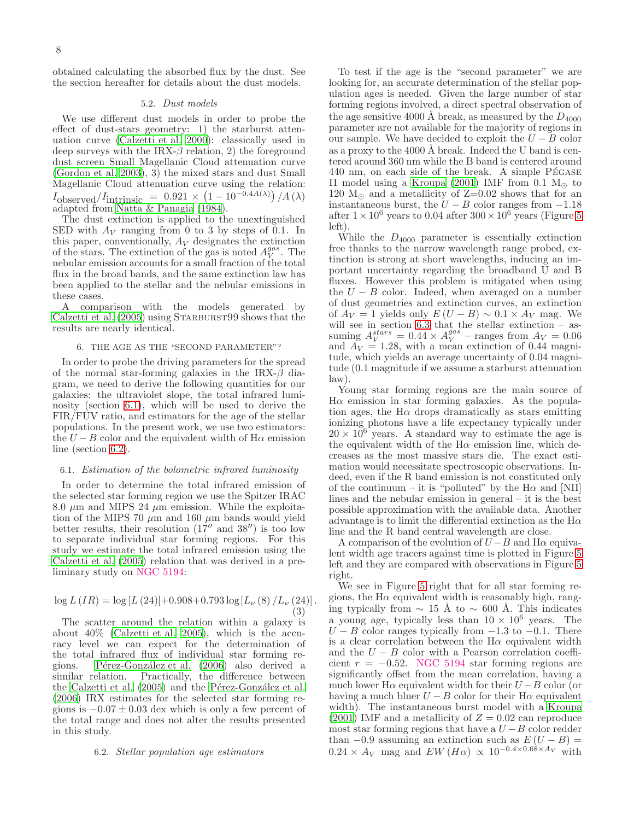obtained calculating the absorbed flux by the dust. See the section hereafter for details about the dust models.

#### 5.2. Dust models

We use different dust models in order to probe the effect of dust-stars geometry: 1) the starburst attenuation curve [\(Calzetti et al. 2000](#page-19-13)): classically used in deep surveys with the IRX- $\beta$  relation, 2) the foreground dust screen Small Magellanic Cloud attenuation curve [\(Gordon et al. 2003](#page-19-32)), 3) the mixed stars and dust Small Magellanic Cloud attenuation curve using the relation:  $I_{\text{observed}}/I_{\text{intrinsic}} = 0.921 \times (1 - 10^{-0.4A(\lambda)}) / A(\lambda)$ adapted from [Natta & Panagia \(1984\)](#page-19-58).

The dust extinction is applied to the unextinguished SED with  $A_V$  ranging from 0 to 3 by steps of 0.1. In this paper, conventionally,  $A_V$  designates the extinction of the stars. The extinction of the gas is noted  $A_V^{gas}$ . The nebular emission accounts for a small fraction of the total flux in the broad bands, and the same extinction law has been applied to the stellar and the nebular emissions in these cases.

A comparison with the models generated by [Calzetti et al. \(2005\)](#page-19-37) using STARBURST99 shows that the results are nearly identical.

#### 6. THE AGE AS THE "SECOND PARAMETER"?

In order to probe the driving parameters for the spread of the normal star-forming galaxies in the IRX- $\beta$  diagram, we need to derive the following quantities for our galaxies: the ultraviolet slope, the total infrared luminosity (section [6.1\)](#page-9-1), which will be used to derive the FIR/FUV ratio, and estimators for the age of the stellar populations. In the present work, we use two estimators: the  $U - B$  color and the equivalent width of H $\alpha$  emission line (section [6.2\)](#page-9-0).

#### <span id="page-9-1"></span>6.1. Estimation of the bolometric infrared luminosity

In order to determine the total infrared emission of the selected star forming region we use the Spitzer IRAC 8.0  $\mu$ m and MIPS 24  $\mu$ m emission. While the exploitation of the MIPS 70  $\mu$ m and 160  $\mu$ m bands would yield better results, their resolution  $(17''$  and  $38'')$  is too low to separate individual star forming regions. For this study we estimate the total infrared emission using the [Calzetti et al. \(2005\)](#page-19-37) relation that was derived in a preliminary study on NGC 5194:

$$
\log L (IR) = \log [L (24)] + 0.908 + 0.793 \log [L_{\nu} (8) / L_{\nu} (24)].
$$
\n(3)

The scatter around the relation within a galaxy is about 40% [\(Calzetti et al. 2005\)](#page-19-37), which is the accuracy level we can expect for the determination of the total infrared flux of individual star forming regions. Pérez-González et al. (2006) also derived a similar relation. Practically, the difference between the Calzetti et al.  $(2005)$  and the Pérez-González et al. [\(2006\)](#page-19-47) IRX estimates for the selected star forming regions is  $-0.07 \pm 0.03$  dex which is only a few percent of the total range and does not alter the results presented in this study.

#### <span id="page-9-0"></span>6.2. Stellar population age estimators

To test if the age is the "second parameter" we are looking for, an accurate determination of the stellar population ages is needed. Given the large number of star forming regions involved, a direct spectral observation of the age sensitive 4000 Å break, as measured by the  $D_{4000}$ parameter are not available for the majority of regions in our sample. We have decided to exploit the  $U - B$  color as a proxy to the 4000  $\AA$  break. Indeed the U band is centered around 360 nm while the B band is centered around  $440 \text{ nm}$ , on each side of the break. A simple P $\acute{\text{r}}$ GASE II model using a [Kroupa \(2001\)](#page-19-55) IMF from 0.1  $M_{\odot}$  to 120  $M_{\odot}$  and a metallicity of Z=0.02 shows that for an instantaneous burst, the  $U - B$  color ranges from  $-1.18$ after  $1 \times 10^6$  years to 0.04 after  $300 \times 10^6$  years (Figure [5](#page-10-0)) left).

While the  $D_{4000}$  parameter is essentially extinction free thanks to the narrow wavelength range probed, extinction is strong at short wavelengths, inducing an important uncertainty regarding the broadband U and B fluxes. However this problem is mitigated when using the  $U - B$  color. Indeed, when averaged on a number of dust geometries and extinction curves, an extinction of  $A_V = 1$  yields only  $E(U - B) \sim 0.1 \times A_V$  mag. We will see in section [6.3](#page-10-1) that the stellar extinction – assuming  $A_V^{stars} = 0.44 \times A_V^{gas}$  – ranges from  $A_V = 0.06$ and  $A_V = 1.28$ , with a mean extinction of 0.44 magnitude, which yields an average uncertainty of 0.04 magnitude (0.1 magnitude if we assume a starburst attenuation law).

Young star forming regions are the main source of  $H\alpha$  emission in star forming galaxies. As the population ages, the H $\alpha$  drops dramatically as stars emitting ionizing photons have a life expectancy typically under  $20 \times 10^6$  years. A standard way to estimate the age is the equivalent width of the  $H\alpha$  emission line, which decreases as the most massive stars die. The exact estimation would necessitate spectroscopic observations. Indeed, even if the R band emission is not constituted only of the continuum – it is "polluted" by the  $H\alpha$  and [NII] lines and the nebular emission in general – it is the best possible approximation with the available data. Another advantage is to limit the differential extinction as the  $H\alpha$ line and the R band central wavelength are close.

A comparison of the evolution of  $U - B$  and H $\alpha$  equivalent width age tracers against time is plotted in Figure [5](#page-10-0) left and they are compared with observations in Figure [5](#page-10-0) right.

We see in Figure [5](#page-10-0) right that for all star forming regions, the  $H\alpha$  equivalent width is reasonably high, ranging typically from  $\sim$  15 Å to  $\sim$  600 Å. This indicates a young age, typically less than  $10 \times 10^6$  years. The  $U - B$  color ranges typically from  $-1.3$  to  $-0.1$ . There is a clear correlation between the  $H\alpha$  equivalent width and the  $U - B$  color with a Pearson correlation coefficient  $r = -0.52$ . NGC 5194 star forming regions are significantly offset from the mean correlation, having a much lower H $\alpha$  equivalent width for their  $U - B$  color (or having a much bluer  $U - B$  color for their H $\alpha$  equivalent width). The instantaneous burst model with a [Kroupa](#page-19-55)  $(2001)$  IMF and a metallicity of  $Z = 0.02$  can reproduce most star forming regions that have a  $U - B$  color redder than  $-0.9$  assuming an extinction such as  $E(U - B) =$  $0.24 \times A_V$  mag and  $EW(H\alpha) \propto 10^{-0.4 \times 0.68 \times A_V}$  with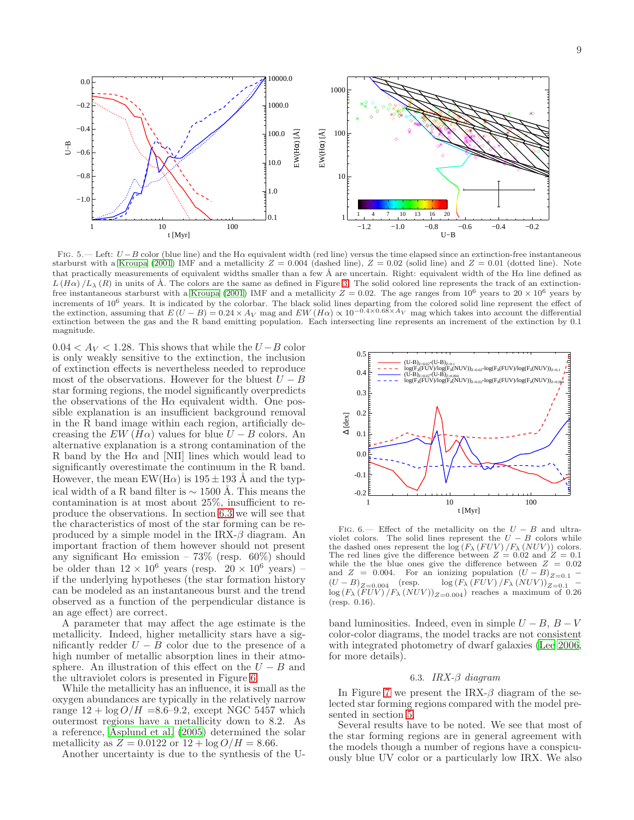

<span id="page-10-0"></span>FIG. 5.— Left:  $U - B$  color (blue line) and the H $\alpha$  equivalent width (red line) versus the time elapsed since an extinction-free instantaneous starburst with a [Kroupa \(2001\)](#page-19-55) IMF and a metallicity  $Z = 0.004$  (dashed line),  $Z = 0.02$  (solid line) and  $Z = 0.01$  (dotted line). Note that practically measurements of equivalent widths smaller than a few Å are uncertain. Right: equivalent width of the H $\alpha$  line defined as  $L(H\alpha)/L_{\lambda}(R)$  in units of Å. The colors are the same as defined in Figure [3.](#page-7-0) The solid colored line represents the track of an extinction-free instantaneous starburst with a [Kroupa \(2001](#page-19-55)) IMF and a metallicity  $Z = 0.02$ . The age ranges from 10<sup>6</sup> years to 20  $\times$  10<sup>6</sup> years by increments of 10<sup>6</sup> years. It is indicated by the colorbar. The black solid lines departing from the colored solid line represent the effect of the extinction, assuming that  $E(U - B) = 0.24 \times A_V$  mag and  $EW(H\alpha) \propto 10^{-0.4 \times 0.68 \times A_V}$  mag which takes into account the differential extinction between the gas and the R band emitting population. Each intersecting line represents an increment of the extinction by 0.1 magnitude.

 $0.04 < A_V < 1.28$ . This shows that while the  $U - B$  color is only weakly sensitive to the extinction, the inclusion of extinction effects is nevertheless needed to reproduce most of the observations. However for the bluest  $U - B$ star forming regions, the model significantly overpredicts the observations of the  $H\alpha$  equivalent width. One possible explanation is an insufficient background removal in the R band image within each region, artificially decreasing the  $EW(H\alpha)$  values for blue  $U - B$  colors. An alternative explanation is a strong contamination of the R band by the H $\alpha$  and [NII] lines which would lead to significantly overestimate the continuum in the R band. However, the mean EW(H $\alpha$ ) is 195  $\pm$  193 Å and the typical width of a R band filter is  $\sim$  1500 Å. This means the contamination is at most about 25%, insufficient to reproduce the observations. In section [6.3](#page-10-1) we will see that the characteristics of most of the star forming can be reproduced by a simple model in the IRX- $\beta$  diagram. An important fraction of them however should not present any significant H $\alpha$  emission – 73% (resp. 60%) should be older than  $12 \times 10^6$  years (resp.  $20 \times 10^6$  years) – if the underlying hypotheses (the star formation history can be modeled as an instantaneous burst and the trend observed as a function of the perpendicular distance is an age effect) are correct.

A parameter that may affect the age estimate is the metallicity. Indeed, higher metallicity stars have a significantly redder  $U - B$  color due to the presence of a high number of metallic absorption lines in their atmosphere. An illustration of this effect on the  $U - B$  and the ultraviolet colors is presented in Figure [6.](#page-10-2)

While the metallicity has an influence, it is small as the oxygen abundances are typically in the relatively narrow range  $12 + \log O/H = 8.6 - 9.2$ , except NGC 5457 which outermost regions have a metallicity down to 8.2. As a reference, [Asplund et al. \(2005\)](#page-18-1) determined the solar metallicity as  $Z = 0.0122$  or  $12 + \log O/H = 8.66$ .

Another uncertainty is due to the synthesis of the U-



<span id="page-10-2"></span>FIG. 6.— Effect of the metallicity on the  $U - B$  and ultraviolet colors. The solid lines represent the  $U - B$  colors while the dashed ones represent the  $\log (F_{\lambda} (FUV) / F_{\lambda} (NUV))$  colors. The red lines give the difference between  $Z = 0.02$  and  $Z = 0.1$ while the the blue ones give the difference between  $Z = 0.02$ while the the blue ones give the unclease  $\sum_{i=1}^{n}$  and  $Z = 0.004$ . For an ionizing population  $(U - B)_{Z=0.1}$  –  $(U - B)_{Z=0.004}$  (resp.  $\log (F_{\lambda} (FUV) / F_{\lambda} (NUV))_{Z=0.1}$  –  $\log(F_{\lambda}(FUV)/F_{\lambda}(NUV))_{Z=0.004})$  reaches a maximum of 0.26 (resp. 0.16).

band luminosities. Indeed, even in simple  $U - B$ ,  $B - V$ color-color diagrams, the model tracks are not consistent with integrated photometry of dwarf galaxies [\(Lee 2006](#page-19-59), for more details).

#### 6.3. IRX- $\beta$  diagram

<span id="page-10-1"></span>In Figure [7](#page-11-0) we present the IRX- $\beta$  diagram of the selected star forming regions compared with the model presented in section [5.](#page-8-2)

Several results have to be noted. We see that most of the star forming regions are in general agreement with the models though a number of regions have a conspicuously blue UV color or a particularly low IRX. We also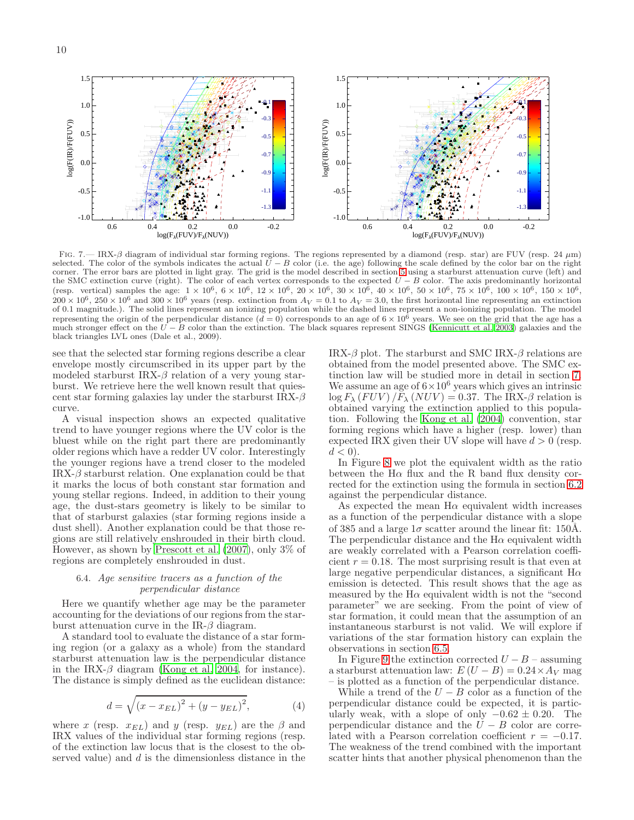1.5 1.5 -0.1 -0.1 1.0 1.0 -0.3  $40.3$ log(F(IR)/F(FUV)) log(F(IR)/F(FUV)) log(F(IR)/F(FUV)) log(F(IR)/F(FUV)) 0.5 0.5 -0.5 -0.5 -0.7 -0.7 0.0 0.0  $-0.9$  $-0.9$ -0.5 -1.1 -0.5 -1.1 -1.3  $-1.3$ -1.0 -1.0 0.6 0.4 0.2 0.0 -0.2 0.6 0.4 0.2 0.0 -0.2  $log(F_{\lambda}(FUV)/F_{\lambda}(NUV))$  $log(F_{\lambda}(FUV)/F_{\lambda}(NUV))$ 

<span id="page-11-0"></span>FIG. 7.— IRX-β diagram of individual star forming regions. The regions represented by a diamond (resp. star) are FUV (resp. 24 μm) selected. The color of the symbols indicates the actual  $U - B$  color (i.e. the age) following the scale defined by the color bar on the right corner. The error bars are plotted in light gray. The grid is the model described in section [5](#page-8-2) using a starburst attenuation curve (left) and the SMC extinction curve (right). The color of each vertex corresponds to the expected  $U - B$  color. The axis predominantly horizontal (resp. vertical) samples the age:  $1 \times 10^6$ ,  $6 \times 10^6$ ,  $12 \times 10^6$ ,  $20 \times 10^6$ ,  $30 \times 10^6$ ,  $40 \times 10^6$ ,  $50 \times 10^6$ ,  $75 \times 10^6$ ,  $100 \times 10^6$ ,  $150 \times 10^6$ ,  $200 \times 10^6$ ,  $250 \times 10^6$  and  $300 \times 10^6$  years (resp. extinction from  $A_V = 0.1$  to  $A_V = 3.0$ , the first horizontal line representing an extinction of 0.1 magnitude.). The solid lines represent an ionizing population while the dashed lines represent a non-ionizing population. The model representing the origin of the perpendicular distance  $(d = 0)$  corresponds to an age of  $6 \times 10^6$  years. We see on the grid that the age has a much stronger effect on the  $\bar{U} - \bar{B}$  color than the extinction. The black squares represent SINGS [\(Kennicutt et al. 2003\)](#page-19-44) galaxies and the black triangles LVL ones (Dale et al., 2009).

see that the selected star forming regions describe a clear envelope mostly circumscribed in its upper part by the modeled starburst IRX- $\beta$  relation of a very young starburst. We retrieve here the well known result that quiescent star forming galaxies lay under the starburst  $IRX-\beta$ curve.

A visual inspection shows an expected qualitative trend to have younger regions where the UV color is the bluest while on the right part there are predominantly older regions which have a redder UV color. Interestingly the younger regions have a trend closer to the modeled IRX- $\beta$  starburst relation. One explanation could be that it marks the locus of both constant star formation and young stellar regions. Indeed, in addition to their young age, the dust-stars geometry is likely to be similar to that of starburst galaxies (star forming regions inside a dust shell). Another explanation could be that those regions are still relatively enshrouded in their birth cloud. However, as shown by [Prescott et al. \(2007\)](#page-19-60), only 3% of regions are completely enshrouded in dust.

#### <span id="page-11-2"></span>6.4. Age sensitive tracers as a function of the perpendicular distance

Here we quantify whether age may be the parameter accounting for the deviations of our regions from the starburst attenuation curve in the IR- $\beta$  diagram.

A standard tool to evaluate the distance of a star forming region (or a galaxy as a whole) from the standard starburst attenuation law is the perpendicular distance in the IRX- $\beta$  diagram [\(Kong et al. 2004,](#page-19-34) for instance). The distance is simply defined as the euclidean distance:

<span id="page-11-1"></span>
$$
d = \sqrt{(x - x_{EL})^2 + (y - y_{EL})^2},
$$
 (4)

where x (resp.  $x_{EL}$ ) and y (resp.  $y_{EL}$ ) are the  $\beta$  and IRX values of the individual star forming regions (resp. of the extinction law locus that is the closest to the observed value) and d is the dimensionless distance in the IRX- $\beta$  plot. The starburst and SMC IRX- $\beta$  relations are obtained from the model presented above. The SMC extinction law will be studied more in detail in section [7.](#page-14-0) We assume an age of  $6 \times 10^6$  years which gives an intrinsic  $\log F_{\lambda} (FUV) / F_{\lambda} (NUV) = 0.37$ . The IRX- $\beta$  relation is obtained varying the extinction applied to this population. Following the [Kong et al. \(2004\)](#page-19-34) convention, star forming regions which have a higher (resp. lower) than expected IRX given their UV slope will have  $d > 0$  (resp.  $d < 0$ ).

In Figure [8](#page-12-0) we plot the equivalent width as the ratio between the  $H\alpha$  flux and the R band flux density corrected for the extinction using the formula in section [6.2](#page-9-0) against the perpendicular distance.

As expected the mean  $H\alpha$  equivalent width increases as a function of the perpendicular distance with a slope of 385 and a large  $1\sigma$  scatter around the linear fit: 150Å. The perpendicular distance and the  $H\alpha$  equivalent width are weakly correlated with a Pearson correlation coefficient  $r = 0.18$ . The most surprising result is that even at large negative perpendicular distances, a significant  $H\alpha$ emission is detected. This result shows that the age as measured by the  $H\alpha$  equivalent width is not the "second" parameter" we are seeking. From the point of view of star formation, it could mean that the assumption of an instantaneous starburst is not valid. We will explore if variations of the star formation history can explain the observations in section [6.5.](#page-12-1)

In Figure [9](#page-12-2) the extinction corrected  $U - B$  – assuming a starburst attenuation law:  $E(U - B) = 0.24 \times A_V$  mag – is plotted as a function of the perpendicular distance.

While a trend of the  $U - B$  color as a function of the perpendicular distance could be expected, it is particularly weak, with a slope of only  $-0.62 \pm 0.20$ . The perpendicular distance and the  $\tilde{U} - B$  color are correlated with a Pearson correlation coefficient  $r = -0.17$ . The weakness of the trend combined with the important scatter hints that another physical phenomenon than the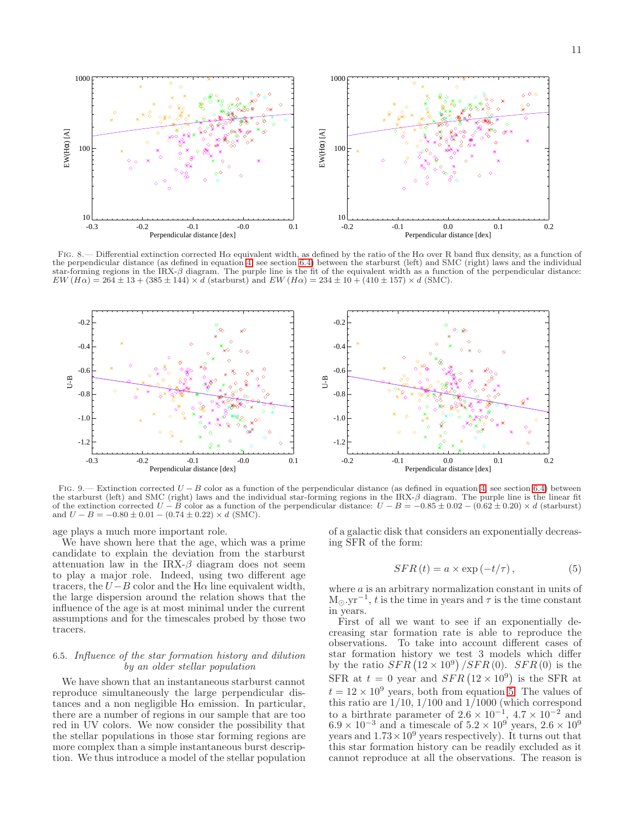

<span id="page-12-0"></span>FIG. 8.— Differential extinction corrected H $\alpha$  equivalent width, as defined by the ratio of the H $\alpha$  over R band flux density, as a function of the perpendicular distance (as defined in equation [4,](#page-11-1) see section [6.4\)](#page-11-2) between the starburst (left) and SMC (right) laws and the individual star-forming regions in the IRX-β diagram. The purple line is the fit of the equivalent width as a function of the perpendicular distance:  $EW(H\alpha) = 264 \pm 13 + (385 \pm 144) \times d$  (starburst) and  $EW(H\alpha) = 234 \pm 10 + (410 \pm 157) \times d$  (SMC).



<span id="page-12-2"></span>FIG. 9.— Extinction corrected  $U - B$  color as a function of the perpendicular distance (as defined in equation [4,](#page-11-1) see section [6.4\)](#page-11-2) between the starburst (left) and SMC (right) laws and the individual star-forming regions in the IRX-β diagram. The purple line is the linear fit of the extinction corrected  $U - B$  color as a function of the perpendicular distance:  $U - B = -0.85 \pm 0.02 - (0.62 \pm 0.20) \times d$  (starburst) and  $U - B = -0.80 \pm 0.01 - (0.74 \pm 0.22) \times d$  (SMC).

age plays a much more important role.

We have shown here that the age, which was a prime candidate to explain the deviation from the starburst attenuation law in the IRX- $\beta$  diagram does not seem to play a major role. Indeed, using two different age tracers, the  $U-B$  color and the H $\alpha$  line equivalent width, the large dispersion around the relation shows that the influence of the age is at most minimal under the current assumptions and for the timescales probed by those two tracers.

#### <span id="page-12-1"></span>6.5. Influence of the star formation history and dilution by an older stellar population

We have shown that an instantaneous starburst cannot reproduce simultaneously the large perpendicular distances and a non negligible  $H\alpha$  emission. In particular, there are a number of regions in our sample that are too red in UV colors. We now consider the possibility that the stellar populations in those star forming regions are more complex than a simple instantaneous burst description. We thus introduce a model of the stellar population

of a galactic disk that considers an exponentially decreasing SFR of the form:

<span id="page-12-3"></span>
$$
SFR(t) = a \times \exp(-t/\tau), \qquad (5)
$$

where a is an arbitrary normalization constant in units of  $M_{\odot}$ .yr<sup>-1</sup>, t is the time in years and  $\tau$  is the time constant in years.

First of all we want to see if an exponentially decreasing star formation rate is able to reproduce the observations. To take into account different cases of star formation history we test 3 models which differ by the ratio  $SFR (12 \times 10^9) / SFR (0)$ .  $SFR (0)$  is the SFR at  $t = 0$  year and  $SFR (12 \times 10^9)$  is the SFR at  $t = 12 \times 10^9$  years, both from equation [5.](#page-12-3) The values of this ratio are  $1/10$ ,  $1/100$  and  $1/1000$  (which correspond to a birthrate parameter of  $2.6 \times 10^{-1}$ ,  $4.7 \times 10^{-2}$  and  $6.9 \times 10^{-3}$  and a timescale of  $5.2 \times 10^{9}$  years,  $2.6 \times 10^{9}$ years and  $1.73 \times 10^9$  years respectively). It turns out that this star formation history can be readily excluded as it cannot reproduce at all the observations. The reason is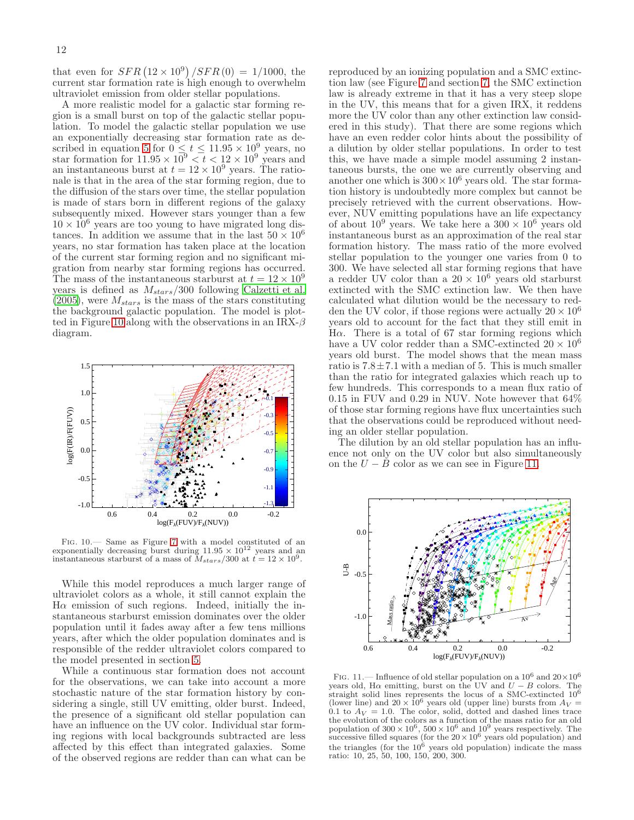that even for  $SFR (12 \times 10^9) / SFR (0) = 1/1000$ , the current star formation rate is high enough to overwhelm ultraviolet emission from older stellar populations.

A more realistic model for a galactic star forming region is a small burst on top of the galactic stellar population. To model the galactic stellar population we use an exponentially decreasing star formation rate as de-scribed in equation [5](#page-12-3) for  $0 \le t \le 11.95 \times 10^9$  years, no star formation for  $11.95 \times 10^9 < t < 12 \times 10^9$  years and an instantaneous burst at  $t = 12 \times 10^9$  years. The rationale is that in the area of the star forming region, due to the diffusion of the stars over time, the stellar population is made of stars born in different regions of the galaxy subsequently mixed. However stars younger than a few  $10 \times 10^6$  years are too young to have migrated long distances. In addition we assume that in the last  $50 \times 10^6$ years, no star formation has taken place at the location of the current star forming region and no significant migration from nearby star forming regions has occurred. The mass of the instantaneous starburst at  $t = 12 \times 10^9$ years is defined as  $M_{stars}/300$  following [Calzetti et al.](#page-19-37)  $(2005)$ , were  $M_{stars}$  is the mass of the stars constituting the background galactic population. The model is plot-ted in Figure [10](#page-13-0) along with the observations in an IRX- $\beta$ diagram.



<span id="page-13-0"></span>Fig. 10.— Same as Figure [7](#page-11-0) with a model constituted of an exponentially decreasing burst during  $11.95 \times 10^{12}$  years and an instantaneous starburst of a mass of  $M_{stars}/300$  at  $t = 12 \times 10^9$ .

While this model reproduces a much larger range of ultraviolet colors as a whole, it still cannot explain the  $H\alpha$  emission of such regions. Indeed, initially the instantaneous starburst emission dominates over the older population until it fades away after a few tens millions years, after which the older population dominates and is responsible of the redder ultraviolet colors compared to the model presented in section [5.](#page-8-2)

While a continuous star formation does not account for the observations, we can take into account a more stochastic nature of the star formation history by considering a single, still UV emitting, older burst. Indeed, the presence of a significant old stellar population can have an influence on the UV color. Individual star forming regions with local backgrounds subtracted are less affected by this effect than integrated galaxies. Some of the observed regions are redder than can what can be reproduced by an ionizing population and a SMC extinction law (see Figure [7](#page-11-0) and section [7,](#page-14-0) the SMC extinction law is already extreme in that it has a very steep slope in the UV, this means that for a given IRX, it reddens more the UV color than any other extinction law considered in this study). That there are some regions which have an even redder color hints about the possibility of a dilution by older stellar populations. In order to test this, we have made a simple model assuming 2 instantaneous bursts, the one we are currently observing and another one which is  $300 \times 10^6$  years old. The star formation history is undoubtedly more complex but cannot be precisely retrieved with the current observations. However, NUV emitting populations have an life expectancy of about  $10^9$  years. We take here a  $300 \times 10^6$  years old instantaneous burst as an approximation of the real star formation history. The mass ratio of the more evolved stellar population to the younger one varies from 0 to 300. We have selected all star forming regions that have a redder UV color than a  $20 \times 10^6$  years old starburst extincted with the SMC extinction law. We then have calculated what dilution would be the necessary to redden the UV color, if those regions were actually  $20 \times 10^6$ years old to account for the fact that they still emit in Hα. There is a total of 67 star forming regions which have a UV color redder than a SMC-extincted  $20 \times 10^6$ years old burst. The model shows that the mean mass ratio is  $7.8 \pm 7.1$  with a median of 5. This is much smaller than the ratio for integrated galaxies which reach up to few hundreds. This corresponds to a mean flux ratio of 0.15 in FUV and 0.29 in NUV. Note however that 64% of those star forming regions have flux uncertainties such that the observations could be reproduced without needing an older stellar population.

The dilution by an old stellar population has an influence not only on the UV color but also simultaneously on the  $U - B$  color as we can see in Figure [11.](#page-13-1)



<span id="page-13-1"></span>FIG. 11.— Influence of old stellar population on a  $10^6$  and  $20 \times 10^6$ years old, H $\alpha$  emitting, burst on the UV and  $U - B$  colors. The straight solid lines represents the locus of a SMC-extincted  $10^6$ (lower line) and  $20 \times 10^6$  years old (upper line) bursts from  $A_V =$ 0.1 to  $A_V = 1.0$ . The color, solid, dotted and dashed lines trace the evolution of the colors as a function of the mass ratio for an old population of  $300 \times 10^6$ ,  $500 \times 10^6$  and  $10^9$  years respectively. The successive filled squares (for the  $20 \times 10^6$  years old population) and the triangles (for the  $10^6$  years old population) indicate the mass ratio: 10, 25, 50, 100, 150, 200, 300.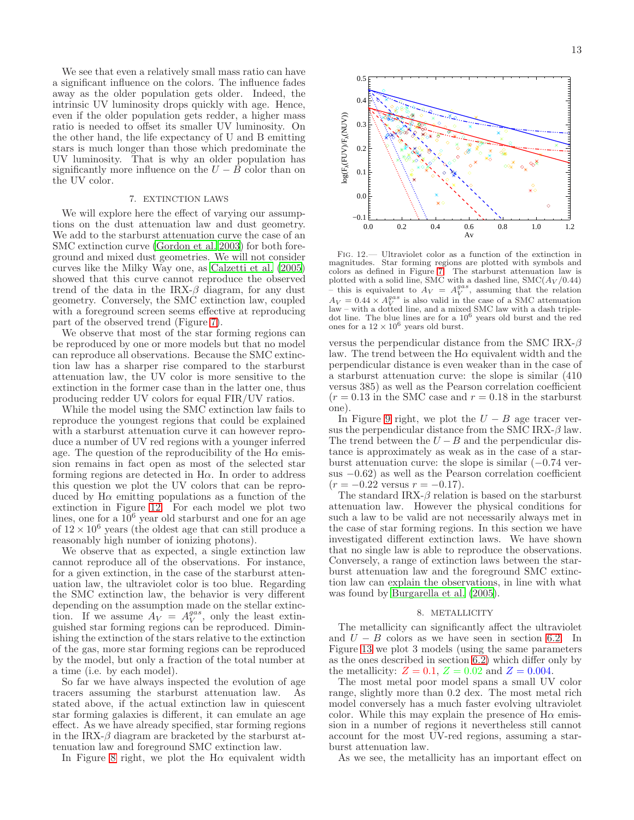We see that even a relatively small mass ratio can have a significant influence on the colors. The influence fades away as the older population gets older. Indeed, the intrinsic UV luminosity drops quickly with age. Hence, even if the older population gets redder, a higher mass ratio is needed to offset its smaller UV luminosity. On the other hand, the life expectancy of U and B emitting stars is much longer than those which predominate the UV luminosity. That is why an older population has significantly more influence on the  $U - \overline{B}$  color than on the UV color.

#### 7. EXTINCTION LAWS

<span id="page-14-0"></span>We will explore here the effect of varying our assumptions on the dust attenuation law and dust geometry. We add to the starburst attenuation curve the case of an SMC extinction curve [\(Gordon et al. 2003\)](#page-19-32) for both foreground and mixed dust geometries. We will not consider curves like the Milky Way one, as [Calzetti et al. \(2005](#page-19-37)) showed that this curve cannot reproduce the observed trend of the data in the IRX- $\beta$  diagram, for any dust geometry. Conversely, the SMC extinction law, coupled with a foreground screen seems effective at reproducing part of the observed trend (Figure [7\)](#page-11-0).

We observe that most of the star forming regions can be reproduced by one or more models but that no model can reproduce all observations. Because the SMC extinction law has a sharper rise compared to the starburst attenuation law, the UV color is more sensitive to the extinction in the former case than in the latter one, thus producing redder UV colors for equal FIR/UV ratios.

While the model using the SMC extinction law fails to reproduce the youngest regions that could be explained with a starburst attenuation curve it can however reproduce a number of UV red regions with a younger inferred age. The question of the reproducibility of the  $H\alpha$  emission remains in fact open as most of the selected star forming regions are detected in  $H\alpha$ . In order to address this question we plot the UV colors that can be reproduced by  $H\alpha$  emitting populations as a function of the extinction in Figure [12.](#page-14-1) For each model we plot two lines, one for a  $10^6$  year old starburst and one for an age of  $12 \times 10^6$  years (the oldest age that can still produce a reasonably high number of ionizing photons).

We observe that as expected, a single extinction law cannot reproduce all of the observations. For instance, for a given extinction, in the case of the starburst attenuation law, the ultraviolet color is too blue. Regarding the SMC extinction law, the behavior is very different depending on the assumption made on the stellar extinction. If we assume  $A_V = A_V^{gas}$ , only the least extinguished star forming regions can be reproduced. Diminishing the extinction of the stars relative to the extinction of the gas, more star forming regions can be reproduced by the model, but only a fraction of the total number at a time (i.e. by each model).

So far we have always inspected the evolution of age tracers assuming the starburst attenuation law. As stated above, if the actual extinction law in quiescent star forming galaxies is different, it can emulate an age effect. As we have already specified, star forming regions in the IRX- $\beta$  diagram are bracketed by the starburst attenuation law and foreground SMC extinction law.

In Figure [8](#page-12-0) right, we plot the  $H\alpha$  equivalent width



<span id="page-14-1"></span>Fig. 12.— Ultraviolet color as a function of the extinction in magnitudes. Star forming regions are plotted with symbols and colors as defined in Figure [7.](#page-11-0) The starburst attenuation law is plotted with a solid line, SMC with a dashed line,  $\text{SMC}(A_V/0.44)$ - this is equivalent to  $A_V = A_V^{gas}$ , assuming that the relation  $A_V = 0.44 \times A_V^{gas}$  is also valid in the case of a SMC attenuation  $\Delta V = 0.44 \times \Delta V$  is also valid in the case of a SMC attenuation<br>law – with a dotted line, and a mixed SMC law with a dash tripledot line. The blue lines are for a 10<sup>6</sup> years old burst and the red ones for a  $12 \times 10^6$  years old burst.

versus the perpendicular distance from the SMC IRX- $\beta$ law. The trend between the  $H\alpha$  equivalent width and the perpendicular distance is even weaker than in the case of a starburst attenuation curve: the slope is similar (410 versus 385) as well as the Pearson correlation coefficient  $(r = 0.13$  in the SMC case and  $r = 0.18$  in the starburst one).

In Figure [9](#page-12-2) right, we plot the  $U - B$  age tracer versus the perpendicular distance from the SMC IRX- $\beta$  law. The trend between the  $U - B$  and the perpendicular distance is approximately as weak as in the case of a starburst attenuation curve: the slope is similar  $(-0.74 \text{ ver-}$ sus −0.62) as well as the Pearson correlation coefficient  $(r = -0.22$  versus  $r = -0.17$ ).

The standard IRX- $\beta$  relation is based on the starburst attenuation law. However the physical conditions for such a law to be valid are not necessarily always met in the case of star forming regions. In this section we have investigated different extinction laws. We have shown that no single law is able to reproduce the observations. Conversely, a range of extinction laws between the starburst attenuation law and the foreground SMC extinction law can explain the observations, in line with what was found by [Burgarella et al. \(2005\)](#page-19-61).

#### 8. METALLICITY

The metallicity can significantly affect the ultraviolet and  $U - B$  colors as we have seen in section [6.2.](#page-9-0) In Figure [13](#page-15-0) we plot 3 models (using the same parameters as the ones described in section [6.2\)](#page-9-0) which differ only by the metallicity:  $Z = 0.1, Z = 0.02$  and  $Z = 0.004$ .

The most metal poor model spans a small UV color range, slightly more than 0.2 dex. The most metal rich model conversely has a much faster evolving ultraviolet color. While this may explain the presence of  $H\alpha$  emission in a number of regions it nevertheless still cannot account for the most UV-red regions, assuming a starburst attenuation law.

As we see, the metallicity has an important effect on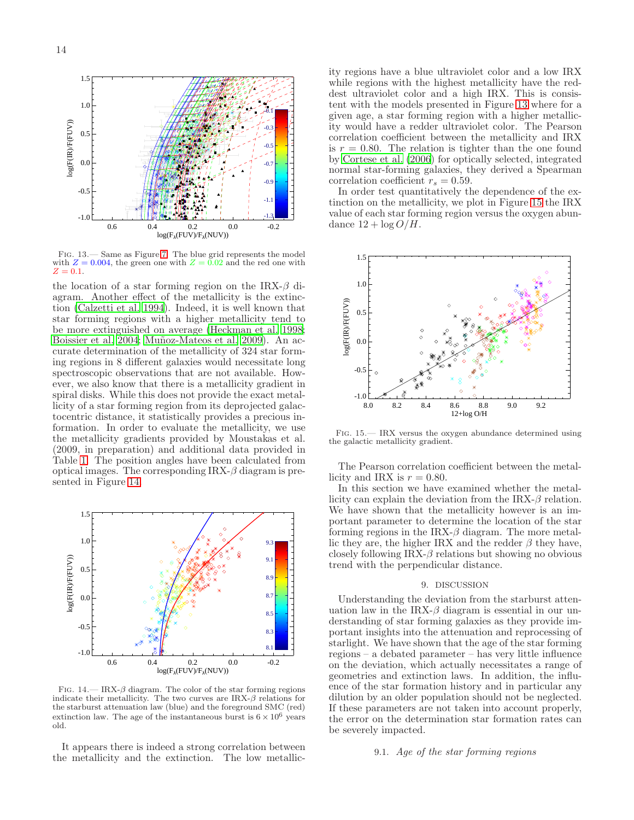

<span id="page-15-0"></span>Fig. 13.— Same as Figure [7.](#page-11-0) The blue grid represents the model with  $Z = 0.004$ , the green one with  $Z = 0.02$  and the red one with  $Z = 0.1$ .

the location of a star forming region on the IRX- $\beta$  diagram. Another effect of the metallicity is the extinction [\(Calzetti et al. 1994\)](#page-19-12). Indeed, it is well known that star forming regions with a higher metallicity tend to be more extinguished on average [\(Heckman et al. 1998;](#page-19-62) [Boissier et al. 2004;](#page-19-63) Muñoz-Mateos et al. 2009). An accurate determination of the metallicity of 324 star forming regions in 8 different galaxies would necessitate long spectroscopic observations that are not available. However, we also know that there is a metallicity gradient in spiral disks. While this does not provide the exact metallicity of a star forming region from its deprojected galactocentric distance, it statistically provides a precious information. In order to evaluate the metallicity, we use the metallicity gradients provided by Moustakas et al. (2009, in preparation) and additional data provided in Table [1.](#page-5-0) The position angles have been calculated from optical images. The corresponding  $IRX-\beta$  diagram is presented in Figure [14.](#page-15-1)



<span id="page-15-1"></span>FIG.  $14.$ — IRX- $\beta$  diagram. The color of the star forming regions indicate their metallicity. The two curves are  $IRX-\beta$  relations for the starburst attenuation law (blue) and the foreground SMC (red) extinction law. The age of the instantaneous burst is  $6 \times 10^6$  years old.

It appears there is indeed a strong correlation between the metallicity and the extinction. The low metallicity regions have a blue ultraviolet color and a low IRX while regions with the highest metallicity have the reddest ultraviolet color and a high IRX. This is consistent with the models presented in Figure [13](#page-15-0) where for a given age, a star forming region with a higher metallicity would have a redder ultraviolet color. The Pearson correlation coefficient between the metallicity and IRX is  $r = 0.80$ . The relation is tighter than the one found by [Cortese et al. \(2006](#page-19-64)) for optically selected, integrated normal star-forming galaxies, they derived a Spearman correlation coefficient  $r_s = 0.59$ .

In order test quantitatively the dependence of the extinction on the metallicity, we plot in Figure [15](#page-15-2) the IRX value of each star forming region versus the oxygen abundance  $12 + \log O/H$ .



<span id="page-15-2"></span>Fig. 15.— IRX versus the oxygen abundance determined using the galactic metallicity gradient.

The Pearson correlation coefficient between the metallicity and IRX is  $r = 0.80$ .

In this section we have examined whether the metallicity can explain the deviation from the IRX- $\beta$  relation. We have shown that the metallicity however is an important parameter to determine the location of the star forming regions in the IRX- $\beta$  diagram. The more metallic they are, the higher IRX and the redder  $\beta$  they have, closely following IRX- $\beta$  relations but showing no obvious trend with the perpendicular distance.

#### 9. DISCUSSION

Understanding the deviation from the starburst attenuation law in the IRX- $\beta$  diagram is essential in our understanding of star forming galaxies as they provide important insights into the attenuation and reprocessing of starlight. We have shown that the age of the star forming regions – a debated parameter – has very little influence on the deviation, which actually necessitates a range of geometries and extinction laws. In addition, the influence of the star formation history and in particular any dilution by an older population should not be neglected. If these parameters are not taken into account properly, the error on the determination star formation rates can be severely impacted.

#### 9.1. Age of the star forming regions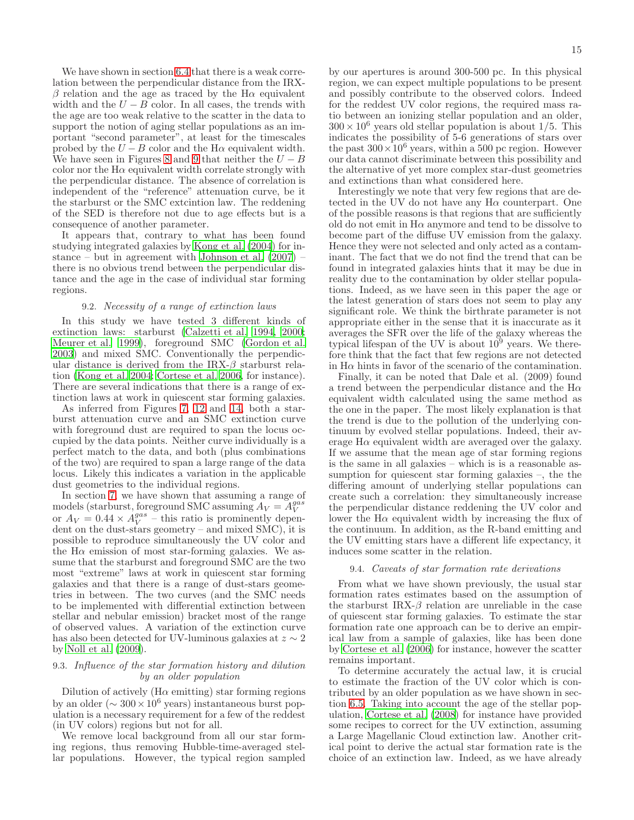We have shown in section [6.4](#page-11-2) that there is a weak correlation between the perpendicular distance from the IRXβ relation and the age as traced by the H $\alpha$  equivalent width and the  $U - B$  color. In all cases, the trends with the age are too weak relative to the scatter in the data to support the notion of aging stellar populations as an important "second parameter", at least for the timescales probed by the  $U - B$  color and the H $\alpha$  equivalent width. We have seen in Figures [8](#page-12-0) and [9](#page-12-2) that neither the  $U - B$ color nor the  $H\alpha$  equivalent width correlate strongly with the perpendicular distance. The absence of correlation is independent of the "reference" attenuation curve, be it the starburst or the SMC extcintion law. The reddening of the SED is therefore not due to age effects but is a consequence of another parameter.

It appears that, contrary to what has been found studying integrated galaxies by [Kong et al. \(2004\)](#page-19-34) for instance – but in agreement with Johnson et al.  $(2007)$  – there is no obvious trend between the perpendicular distance and the age in the case of individual star forming regions.

#### 9.2. Necessity of a range of extinction laws

In this study we have tested 3 different kinds of extinction laws: starburst [\(Calzetti et al. 1994](#page-19-12), [2000;](#page-19-13) [Meurer et al. 1999\)](#page-19-14), foreground SMC [\(Gordon et al.](#page-19-32) [2003\)](#page-19-32) and mixed SMC. Conventionally the perpendicular distance is derived from the IRX- $\beta$  starburst relation [\(Kong et al. 2004](#page-19-34); [Cortese et al. 2006,](#page-19-64) for instance). There are several indications that there is a range of extinction laws at work in quiescent star forming galaxies.

As inferred from Figures [7,](#page-11-0) [12](#page-14-1) and [14,](#page-15-1) both a starburst attenuation curve and an SMC extinction curve with foreground dust are required to span the locus occupied by the data points. Neither curve individually is a perfect match to the data, and both (plus combinations of the two) are required to span a large range of the data locus. Likely this indicates a variation in the applicable dust geometries to the individual regions.

In section [7,](#page-14-0) we have shown that assuming a range of models (starburst, foreground SMC assuming  $A_V = A_V^{gas}$ or  $A_V = 0.44 \times A_V^{gas}$  – this ratio is prominently dependent on the dust-stars geometry – and mixed SMC), it is possible to reproduce simultaneously the UV color and the  $H\alpha$  emission of most star-forming galaxies. We assume that the starburst and foreground SMC are the two most "extreme" laws at work in quiescent star forming galaxies and that there is a range of dust-stars geometries in between. The two curves (and the SMC needs to be implemented with differential extinction between stellar and nebular emission) bracket most of the range of observed values. A variation of the extinction curve has also been detected for UV-luminous galaxies at  $z \sim 2$ by [Noll et al. \(2009](#page-19-21)).

#### 9.3. Influence of the star formation history and dilution by an older population

Dilution of actively  $(H\alpha$  emitting) star forming regions by an older ( $\sim 300 \times 10^6$  years) instantaneous burst population is a necessary requirement for a few of the reddest (in UV colors) regions but not for all.

We remove local background from all our star forming regions, thus removing Hubble-time-averaged stellar populations. However, the typical region sampled by our apertures is around 300-500 pc. In this physical region, we can expect multiple populations to be present and possibly contribute to the observed colors. Indeed for the reddest UV color regions, the required mass ratio between an ionizing stellar population and an older,  $300 \times 10^6$  years old stellar population is about 1/5. This indicates the possibility of 5-6 generations of stars over the past  $300 \times 10^6$  years, within a 500 pc region. However our data cannot discriminate between this possibility and the alternative of yet more complex star-dust geometries and extinctions than what considered here.

Interestingly we note that very few regions that are detected in the UV do not have any  $H\alpha$  counterpart. One of the possible reasons is that regions that are sufficiently old do not emit in  $H\alpha$  anymore and tend to be dissolve to become part of the diffuse UV emission from the galaxy. Hence they were not selected and only acted as a contaminant. The fact that we do not find the trend that can be found in integrated galaxies hints that it may be due in reality due to the contamination by older stellar populations. Indeed, as we have seen in this paper the age or the latest generation of stars does not seem to play any significant role. We think the birthrate parameter is not appropriate either in the sense that it is inaccurate as it averages the SFR over the life of the galaxy whereas the typical lifespan of the UV is about  $10^9$  years. We therefore think that the fact that few regions are not detected in  $H\alpha$  hints in favor of the scenario of the contamination.

Finally, it can be noted that Dale et al. (2009) found a trend between the perpendicular distance and the  $H\alpha$ equivalent width calculated using the same method as the one in the paper. The most likely explanation is that the trend is due to the pollution of the underlying continuum by evolved stellar populations. Indeed, their average  $H\alpha$  equivalent width are averaged over the galaxy. If we assume that the mean age of star forming regions is the same in all galaxies – which is is a reasonable assumption for quiescent star forming galaxies –, the the differing amount of underlying stellar populations can create such a correlation: they simultaneously increase the perpendicular distance reddening the UV color and lower the  $H\alpha$  equivalent width by increasing the flux of the continuum. In addition, as the R-band emitting and the UV emitting stars have a different life expectancy, it induces some scatter in the relation.

#### 9.4. Caveats of star formation rate derivations

From what we have shown previously, the usual star formation rates estimates based on the assumption of the starburst IRX- $\beta$  relation are unreliable in the case of quiescent star forming galaxies. To estimate the star formation rate one approach can be to derive an empirical law from a sample of galaxies, like has been done by [Cortese et al. \(2006\)](#page-19-64) for instance, however the scatter remains important.

To determine accurately the actual law, it is crucial to estimate the fraction of the UV color which is contributed by an older population as we have shown in section [6.5.](#page-12-1) Taking into account the age of the stellar population, [Cortese et al. \(2008\)](#page-19-22) for instance have provided some recipes to correct for the UV extinction, assuming a Large Magellanic Cloud extinction law. Another critical point to derive the actual star formation rate is the choice of an extinction law. Indeed, as we have already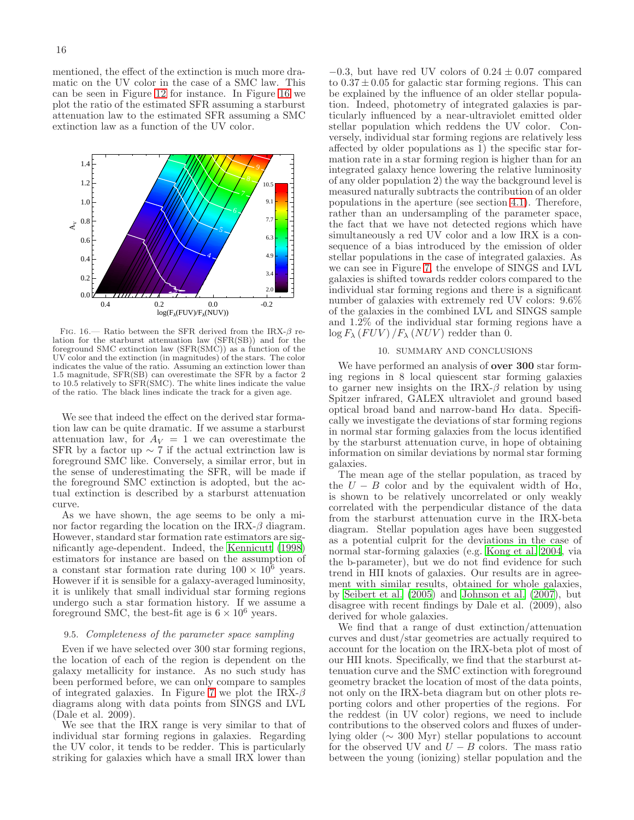mentioned, the effect of the extinction is much more dramatic on the UV color in the case of a SMC law. This can be seen in Figure [12](#page-14-1) for instance. In Figure [16](#page-17-0) we plot the ratio of the estimated SFR assuming a starburst attenuation law to the estimated SFR assuming a SMC extinction law as a function of the UV color.



<span id="page-17-0"></span>FIG. 16.— Ratio between the SFR derived from the IRX- $\beta$  relation for the starburst attenuation law (SFR(SB)) and for the foreground SMC extinction law (SFR(SMC)) as a function of the UV color and the extinction (in magnitudes) of the stars. The color indicates the value of the ratio. Assuming an extinction lower than 1.5 magnitude, SFR(SB) can overestimate the SFR by a factor 2 to 10.5 relatively to SFR(SMC). The white lines indicate the value of the ratio. The black lines indicate the track for a given age.

We see that indeed the effect on the derived star formation law can be quite dramatic. If we assume a starburst attenuation law, for  $A_V = 1$  we can overestimate the SFR by a factor up  $\sim$  7 if the actual extrinction law is foreground SMC like. Conversely, a similar error, but in the sense of underestimating the SFR, will be made if the foreground SMC extinction is adopted, but the actual extinction is described by a starburst attenuation curve.

As we have shown, the age seems to be only a minor factor regarding the location on the IRX- $\beta$  diagram. However, standard star formation rate estimators are significantly age-dependent. Indeed, the [Kennicutt \(1998](#page-19-7)) estimators for instance are based on the assumption of a constant star formation rate during  $100 \times 10^6$  years. However if it is sensible for a galaxy-averaged luminosity, it is unlikely that small individual star forming regions undergo such a star formation history. If we assume a foreground SMC, the best-fit age is  $6 \times 10^6$  years.

#### 9.5. Completeness of the parameter space sampling

Even if we have selected over 300 star forming regions, the location of each of the region is dependent on the galaxy metallicity for instance. As no such study has been performed before, we can only compare to samples of integrated galaxies. In Figure [7](#page-11-0) we plot the IRX- $\beta$ diagrams along with data points from SINGS and LVL (Dale et al. 2009).

We see that the IRX range is very similar to that of individual star forming regions in galaxies. Regarding the UV color, it tends to be redder. This is particularly striking for galaxies which have a small IRX lower than

 $-0.3$ , but have red UV colors of  $0.24 \pm 0.07$  compared to  $0.37 \pm 0.05$  for galactic star forming regions. This can be explained by the influence of an older stellar population. Indeed, photometry of integrated galaxies is particularly influenced by a near-ultraviolet emitted older stellar population which reddens the UV color. Conversely, individual star forming regions are relatively less affected by older populations as 1) the specific star formation rate in a star forming region is higher than for an integrated galaxy hence lowering the relative luminosity of any older population 2) the way the background level is measured naturally subtracts the contribution of an older populations in the aperture (see section [4.1\)](#page-4-0). Therefore, rather than an undersampling of the parameter space, the fact that we have not detected regions which have simultaneously a red UV color and a low IRX is a consequence of a bias introduced by the emission of older stellar populations in the case of integrated galaxies. As we can see in Figure [7,](#page-11-0) the envelope of SINGS and LVL galaxies is shifted towards redder colors compared to the individual star forming regions and there is a significant number of galaxies with extremely red UV colors: 9.6% of the galaxies in the combined LVL and SINGS sample and 1.2% of the individual star forming regions have a  $\log F_{\lambda}$  (*FUV*) / $F_{\lambda}$  (*NUV*) redder than 0.

#### 10. SUMMARY AND CONCLUSIONS

We have performed an analysis of **over 300** star forming regions in 8 local quiescent star forming galaxies to garner new insights on the IRX- $\beta$  relation by using Spitzer infrared, GALEX ultraviolet and ground based optical broad band and narrow-band  $H\alpha$  data. Specifically we investigate the deviations of star forming regions in normal star forming galaxies from the locus identified by the starburst attenuation curve, in hope of obtaining information on similar deviations by normal star forming galaxies.

The mean age of the stellar population, as traced by the  $U - B$  color and by the equivalent width of H $\alpha$ , is shown to be relatively uncorrelated or only weakly correlated with the perpendicular distance of the data from the starburst attenuation curve in the IRX-beta diagram. Stellar population ages have been suggested as a potential culprit for the deviations in the case of normal star-forming galaxies (e.g. [Kong et al. 2004](#page-19-34), via the b-parameter), but we do not find evidence for such trend in HII knots of galaxies. Our results are in agreement with similar results, obtained for whole galaxies, by [Seibert et al. \(2005](#page-19-36)) and [Johnson et al. \(2007\)](#page-19-42), but disagree with recent findings by Dale et al. (2009), also derived for whole galaxies.

We find that a range of dust extinction/attenuation curves and dust/star geometries are actually required to account for the location on the IRX-beta plot of most of our HII knots. Specifically, we find that the starburst attenuation curve and the SMC extinction with foreground geometry bracket the location of most of the data points, not only on the IRX-beta diagram but on other plots reporting colors and other properties of the regions. For the reddest (in UV color) regions, we need to include contributions to the observed colors and fluxes of underlying older (∼ 300 Myr) stellar populations to account for the observed UV and  $U - B$  colors. The mass ratio between the young (ionizing) stellar population and the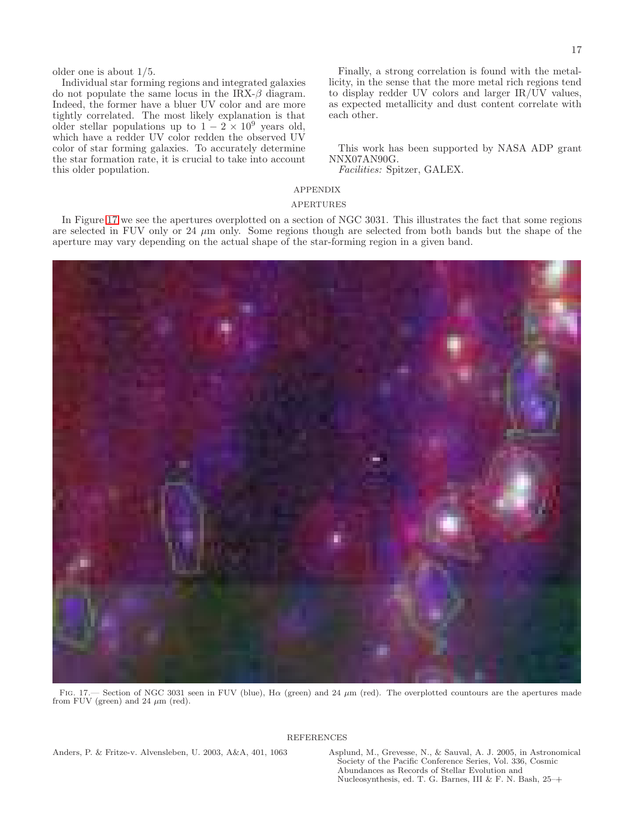older one is about 1/5.

Individual star forming regions and integrated galaxies do not populate the same locus in the IRX- $\beta$  diagram. Indeed, the former have a bluer UV color and are more tightly correlated. The most likely explanation is that older stellar populations up to  $1 - 2 \times 10^9$  years old, which have a redder UV color redden the observed UV color of star forming galaxies. To accurately determine the star formation rate, it is crucial to take into account this older population.

Finally, a strong correlation is found with the metallicity, in the sense that the more metal rich regions tend to display redder UV colors and larger IR/UV values, as expected metallicity and dust content correlate with each other.

This work has been supported by NASA ADP grant NNX07AN90G.

Facilities: Spitzer, GALEX.

## APPENDIX

#### APERTURES

In Figure [17](#page-18-2) we see the apertures overplotted on a section of NGC 3031. This illustrates the fact that some regions are selected in FUV only or 24  $\mu$ m only. Some regions though are selected from both bands but the shape of the aperture may vary depending on the actual shape of the star-forming region in a given band.



FIG. 17.— Section of NGC 3031 seen in FUV (blue), H $\alpha$  (green) and 24  $\mu$ m (red). The overplotted countours are the apertures made from FUV (green) and 24  $\mu$ m (red).

#### **REFERENCES**

<span id="page-18-2"></span><span id="page-18-0"></span>Anders, P. & Fritze-v. Alvensleben, U. 2003, A&A, 401, 1063 Asplund, M., Grevesse, N., & Sauval, A. J. 2005, in Astronomical

<span id="page-18-1"></span>Society of the Pacific Conference Series, Vol. 336, Cosmic Abundances as Records of Stellar Evolution and Nucleosynthesis, ed. T. G. Barnes, III & F. N. Bash, 25–+